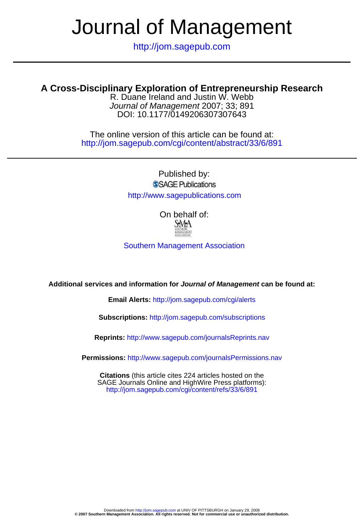# Journal of Management

http://jom.sagepub.com

## **A Cross-Disciplinary Exploration of Entrepreneurship Research**

DOI: 10.1177/0149206307307643 Journal of Management 2007; 33; 891 R. Duane Ireland and Justin W. Webb

http://jom.sagepub.com/cgi/content/abstract/33/6/891 The online version of this article can be found at:

> Published by: SSAGE Publications http://www.sagepublications.com

> > On behalf of: SMA

[Southern Management Association](http://www.southernmanagement.org/)

**Additional services and information for Journal of Management can be found at:**

**Email Alerts:** <http://jom.sagepub.com/cgi/alerts>

**Subscriptions:** <http://jom.sagepub.com/subscriptions>

**Reprints:** <http://www.sagepub.com/journalsReprints.nav>

**Permissions:** <http://www.sagepub.com/journalsPermissions.nav>

<http://jom.sagepub.com/cgi/content/refs/33/6/891> SAGE Journals Online and HighWire Press platforms): **Citations** (this article cites 224 articles hosted on the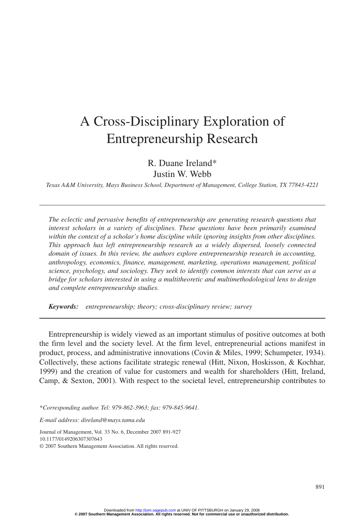# A Cross-Disciplinary Exploration of Entrepreneurship Research

R. Duane Ireland\* Justin W. Webb

*Texas A&M University, Mays Business School, Department of Management, College Station, TX 77843-4221*

*The eclectic and pervasive benefits of entrepreneurship are generating research questions that interest scholars in a variety of disciplines. These questions have been primarily examined within the context of a scholar's home discipline while ignoring insights from other disciplines. This approach has left entrepreneurship research as a widely dispersed, loosely connected domain of issues. In this review, the authors explore entrepreneurship research in accounting, anthropology, economics, finance, management, marketing, operations management, political science, psychology, and sociology. They seek to identify common interests that can serve as a bridge for scholars interested in using a multitheoretic and multimethodological lens to design and complete entrepreneurship studies.*

*Keywords: entrepreneurship; theory; cross-disciplinary review; survey*

Entrepreneurship is widely viewed as an important stimulus of positive outcomes at both the firm level and the society level. At the firm level, entrepreneurial actions manifest in product, process, and administrative innovations (Covin & Miles, 1999; Schumpeter, 1934). Collectively, these actions facilitate strategic renewal (Hitt, Nixon, Hoskisson, & Kochhar, 1999) and the creation of value for customers and wealth for shareholders (Hitt, Ireland, Camp, & Sexton, 2001). With respect to the societal level, entrepreneurship contributes to

\**Corresponding author. Tel: 979-862-3963; fax: 979-845-9641.*

*E-mail address: direland@mays.tamu.edu*

Journal of Management, Vol. 33 No. 6, December 2007 891-927 10.1177/0149206307307643 © 2007 Southern Management Association. All rights reserved.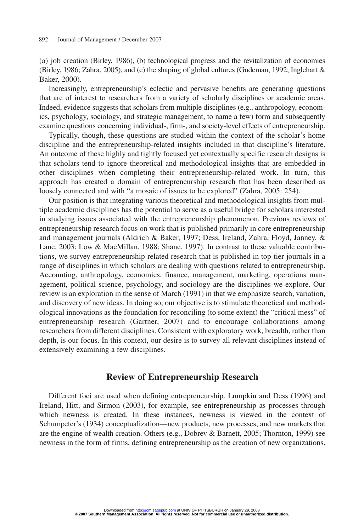(a) job creation (Birley, 1986), (b) technological progress and the revitalization of economies (Birley, 1986; Zahra, 2005), and (c) the shaping of global cultures (Gudeman, 1992; Inglehart & Baker, 2000).

Increasingly, entrepreneurship's eclectic and pervasive benefits are generating questions that are of interest to researchers from a variety of scholarly disciplines or academic areas. Indeed, evidence suggests that scholars from multiple disciplines (e.g., anthropology, economics, psychology, sociology, and strategic management, to name a few) form and subsequently examine questions concerning individual-, firm-, and society-level effects of entrepreneurship.

Typically, though, these questions are studied within the context of the scholar's home discipline and the entrepreneurship-related insights included in that discipline's literature. An outcome of these highly and tightly focused yet contextually specific research designs is that scholars tend to ignore theoretical and methodological insights that are embedded in other disciplines when completing their entrepreneurship-related work. In turn, this approach has created a domain of entrepreneurship research that has been described as loosely connected and with "a mosaic of issues to be explored" (Zahra, 2005: 254).

Our position is that integrating various theoretical and methodological insights from multiple academic disciplines has the potential to serve as a useful bridge for scholars interested in studying issues associated with the entrepreneurship phenomenon. Previous reviews of entrepreneurship research focus on work that is published primarily in core entrepreneurship and management journals (Aldrich & Baker, 1997; Dess, Ireland, Zahra, Floyd, Janney, & Lane, 2003; Low & MacMillan, 1988; Shane, 1997). In contrast to these valuable contributions, we survey entrepreneurship-related research that is published in top-tier journals in a range of disciplines in which scholars are dealing with questions related to entrepreneurship. Accounting, anthropology, economics, finance, management, marketing, operations management, political science, psychology, and sociology are the disciplines we explore. Our review is an exploration in the sense of March (1991) in that we emphasize search, variation, and discovery of new ideas. In doing so, our objective is to stimulate theoretical and methodological innovations as the foundation for reconciling (to some extent) the "critical mess" of entrepreneurship research (Gartner, 2007) and to encourage collaborations among researchers from different disciplines. Consistent with exploratory work, breadth, rather than depth, is our focus. In this context, our desire is to survey all relevant disciplines instead of extensively examining a few disciplines.

#### **Review of Entrepreneurship Research**

Different foci are used when defining entrepreneurship. Lumpkin and Dess (1996) and Ireland, Hitt, and Sirmon (2003), for example, see entrepreneurship as processes through which newness is created. In these instances, newness is viewed in the context of Schumpeter's (1934) conceptualization—new products, new processes, and new markets that are the engine of wealth creation. Others (e.g., Dobrev & Barnett, 2005; Thornton, 1999) see newness in the form of firms, defining entrepreneurship as the creation of new organizations.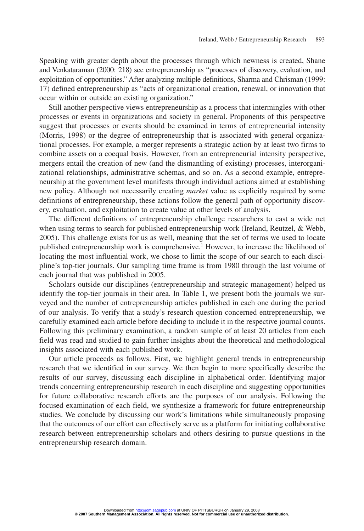Speaking with greater depth about the processes through which newness is created, Shane and Venkataraman (2000: 218) see entrepreneurship as "processes of discovery, evaluation, and exploitation of opportunities." After analyzing multiple definitions, Sharma and Chrisman (1999: 17) defined entrepreneurship as "acts of organizational creation, renewal, or innovation that occur within or outside an existing organization."

Still another perspective views entrepreneurship as a process that intermingles with other processes or events in organizations and society in general. Proponents of this perspective suggest that processes or events should be examined in terms of entrepreneurial intensity (Morris, 1998) or the degree of entrepreneurship that is associated with general organizational processes. For example, a merger represents a strategic action by at least two firms to combine assets on a coequal basis. However, from an entrepreneurial intensity perspective, mergers entail the creation of new (and the dismantling of existing) processes, interorganizational relationships, administrative schemas, and so on. As a second example, entrepreneurship at the government level manifests through individual actions aimed at establishing new policy. Although not necessarily creating *market* value as explicitly required by some definitions of entrepreneurship, these actions follow the general path of opportunity discovery, evaluation, and exploitation to create value at other levels of analysis.

The different definitions of entrepreneurship challenge researchers to cast a wide net when using terms to search for published entrepreneurship work (Ireland, Reutzel, & Webb, 2005). This challenge exists for us as well, meaning that the set of terms we used to locate published entrepreneurship work is comprehensive.<sup>1</sup> However, to increase the likelihood of locating the most influential work, we chose to limit the scope of our search to each discipline's top-tier journals. Our sampling time frame is from 1980 through the last volume of each journal that was published in 2005.

Scholars outside our disciplines (entrepreneurship and strategic management) helped us identify the top-tier journals in their area. In Table 1, we present both the journals we surveyed and the number of entrepreneurship articles published in each one during the period of our analysis. To verify that a study's research question concerned entrepreneurship, we carefully examined each article before deciding to include it in the respective journal counts. Following this preliminary examination, a random sample of at least 20 articles from each field was read and studied to gain further insights about the theoretical and methodological insights associated with each published work.

Our article proceeds as follows. First, we highlight general trends in entrepreneurship research that we identified in our survey. We then begin to more specifically describe the results of our survey, discussing each discipline in alphabetical order. Identifying major trends concerning entrepreneurship research in each discipline and suggesting opportunities for future collaborative research efforts are the purposes of our analysis. Following the focused examination of each field, we synthesize a framework for future entrepreneurship studies. We conclude by discussing our work's limitations while simultaneously proposing that the outcomes of our effort can effectively serve as a platform for initiating collaborative research between entrepreneurship scholars and others desiring to pursue questions in the entrepreneurship research domain.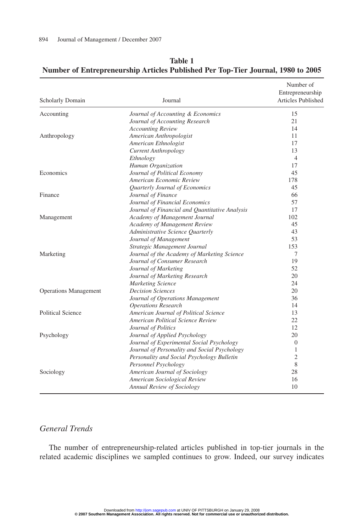| Scholarly Domain             | Journal                                        | Number of<br>Entrepreneurship<br>Articles Published |
|------------------------------|------------------------------------------------|-----------------------------------------------------|
| Accounting                   | Journal of Accounting & Economics              | 15                                                  |
|                              | Journal of Accounting Research                 | 21                                                  |
|                              | <b>Accounting Review</b>                       | 14                                                  |
| Anthropology                 | American Anthropologist                        | 11                                                  |
|                              | American Ethnologist                           | 17                                                  |
|                              | <b>Current Anthropology</b>                    | 13                                                  |
|                              | Ethnology                                      | $\overline{4}$                                      |
|                              | Human Organization                             | 17                                                  |
| Economics                    | Journal of Political Economy                   | 45                                                  |
|                              | American Economic Review                       | 178                                                 |
|                              | Quarterly Journal of Economics                 | 45                                                  |
| Finance                      | Journal of Finance                             | 66                                                  |
|                              | Journal of Financial Economics                 | 57                                                  |
|                              | Journal of Financial and Quantitative Analysis | 17                                                  |
| Management                   | Academy of Management Journal                  | 102                                                 |
|                              | Academy of Management Review                   | 45                                                  |
|                              | Administrative Science Quarterly               | 43                                                  |
|                              | Journal of Management                          | 53                                                  |
|                              | Strategic Management Journal                   | 153                                                 |
| Marketing                    | Journal of the Academy of Marketing Science    | 7                                                   |
|                              | Journal of Consumer Research                   | 19                                                  |
|                              | Journal of Marketing                           | 52                                                  |
|                              | Journal of Marketing Research                  | 20                                                  |
|                              | Marketing Science                              | 24                                                  |
| <b>Operations Management</b> | <b>Decision Sciences</b>                       | 20                                                  |
|                              | Journal of Operations Management               | 36                                                  |
|                              | <b>Operations Research</b>                     | 14                                                  |
| <b>Political Science</b>     | American Journal of Political Science          | 13                                                  |
|                              | American Political Science Review              | 22                                                  |
|                              | Journal of Politics                            | 12                                                  |
| Psychology                   | Journal of Applied Psychology                  | 20                                                  |
|                              | Journal of Experimental Social Psychology      | $\mathbf{0}$                                        |
|                              | Journal of Personality and Social Psychology   | 1                                                   |
|                              | Personality and Social Psychology Bulletin     | $\overline{2}$                                      |
|                              | Personnel Psychology                           | 8                                                   |
| Sociology                    | American Journal of Sociology                  | 28                                                  |
|                              | American Sociological Review                   | 16                                                  |
|                              | Annual Review of Sociology                     | 10                                                  |

#### **Table 1 Number of Entrepreneurship Articles Published Per Top-Tier Journal, 1980 to 2005**

### *General Trends*

The number of entrepreneurship-related articles published in top-tier journals in the related academic disciplines we sampled continues to grow. Indeed, our survey indicates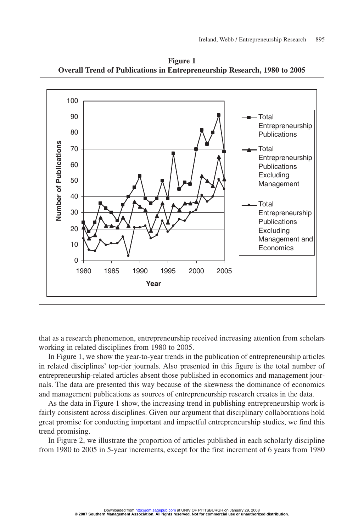

**Figure 1 Overall Trend of Publications in Entrepreneurship Research, 1980 to 2005**

that as a research phenomenon, entrepreneurship received increasing attention from scholars working in related disciplines from 1980 to 2005.

In Figure 1, we show the year-to-year trends in the publication of entrepreneurship articles in related disciplines' top-tier journals. Also presented in this figure is the total number of entrepreneurship-related articles absent those published in economics and management journals. The data are presented this way because of the skewness the dominance of economics and management publications as sources of entrepreneurship research creates in the data.

As the data in Figure 1 show, the increasing trend in publishing entrepreneurship work is fairly consistent across disciplines. Given our argument that disciplinary collaborations hold great promise for conducting important and impactful entrepreneurship studies, we find this trend promising.

In Figure 2, we illustrate the proportion of articles published in each scholarly discipline from 1980 to 2005 in 5-year increments, except for the first increment of 6 years from 1980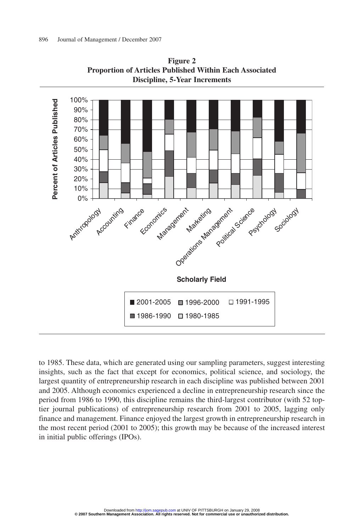

**Figure 2 Proportion of Articles Published Within Each Associated Discipline, 5-Year Increments**

to 1985. These data, which are generated using our sampling parameters, suggest interesting insights, such as the fact that except for economics, political science, and sociology, the largest quantity of entrepreneurship research in each discipline was published between 2001 and 2005. Although economics experienced a decline in entrepreneurship research since the period from 1986 to 1990, this discipline remains the third-largest contributor (with 52 toptier journal publications) of entrepreneurship research from 2001 to 2005, lagging only finance and management. Finance enjoyed the largest growth in entrepreneurship research in the most recent period (2001 to 2005); this growth may be because of the increased interest in initial public offerings (IPOs).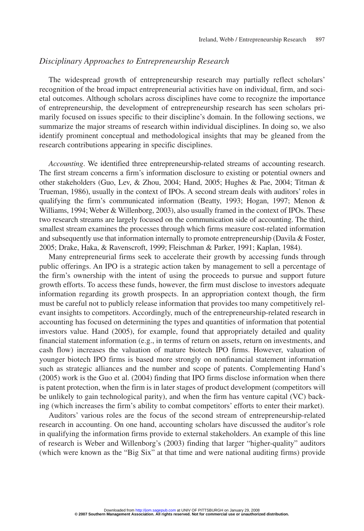#### *Disciplinary Approaches to Entrepreneurship Research*

The widespread growth of entrepreneurship research may partially reflect scholars' recognition of the broad impact entrepreneurial activities have on individual, firm, and societal outcomes. Although scholars across disciplines have come to recognize the importance of entrepreneurship, the development of entrepreneurship research has seen scholars primarily focused on issues specific to their discipline's domain. In the following sections, we summarize the major streams of research within individual disciplines. In doing so, we also identify prominent conceptual and methodological insights that may be gleaned from the research contributions appearing in specific disciplines.

*Accounting*. We identified three entrepreneurship-related streams of accounting research. The first stream concerns a firm's information disclosure to existing or potential owners and other stakeholders (Guo, Lev, & Zhou, 2004; Hand, 2005; Hughes & Pae, 2004; Titman & Trueman, 1986), usually in the context of IPOs. A second stream deals with auditors' roles in qualifying the firm's communicated information (Beatty, 1993; Hogan, 1997; Menon & Williams, 1994; Weber & Willenborg, 2003), also usually framed in the context of IPOs. These two research streams are largely focused on the communication side of accounting. The third, smallest stream examines the processes through which firms measure cost-related information and subsequently use that information internally to promote entrepreneurship (Davila  $& Foster$ , 2005; Drake, Haka, & Ravenscroft, 1999; Fleischman & Parker, 1991; Kaplan, 1984).

Many entrepreneurial firms seek to accelerate their growth by accessing funds through public offerings. An IPO is a strategic action taken by management to sell a percentage of the firm's ownership with the intent of using the proceeds to pursue and support future growth efforts. To access these funds, however, the firm must disclose to investors adequate information regarding its growth prospects. In an appropriation context though, the firm must be careful not to publicly release information that provides too many competitively relevant insights to competitors. Accordingly, much of the entrepreneurship-related research in accounting has focused on determining the types and quantities of information that potential investors value. Hand (2005), for example, found that appropriately detailed and quality financial statement information (e.g., in terms of return on assets, return on investments, and cash flow) increases the valuation of mature biotech IPO firms. However, valuation of younger biotech IPO firms is based more strongly on nonfinancial statement information such as strategic alliances and the number and scope of patents. Complementing Hand's (2005) work is the Guo et al. (2004) finding that IPO firms disclose information when there is patent protection, when the firm is in later stages of product development (competitors will be unlikely to gain technological parity), and when the firm has venture capital (VC) backing (which increases the firm's ability to combat competitors' efforts to enter their market).

Auditors' various roles are the focus of the second stream of entrepreneurship-related research in accounting. On one hand, accounting scholars have discussed the auditor's role in qualifying the information firms provide to external stakeholders. An example of this line of research is Weber and Willenborg's (2003) finding that larger "higher-quality" auditors (which were known as the "Big Six" at that time and were national auditing firms) provide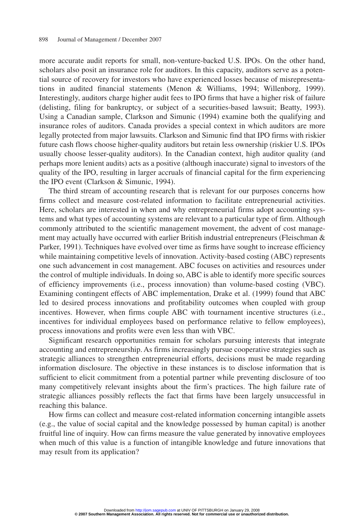more accurate audit reports for small, non-venture-backed U.S. IPOs. On the other hand, scholars also posit an insurance role for auditors. In this capacity, auditors serve as a potential source of recovery for investors who have experienced losses because of misrepresentations in audited financial statements (Menon & Williams, 1994; Willenborg, 1999). Interestingly, auditors charge higher audit fees to IPO firms that have a higher risk of failure (delisting, filing for bankruptcy, or subject of a securities-based lawsuit; Beatty, 1993). Using a Canadian sample, Clarkson and Simunic (1994) examine both the qualifying and insurance roles of auditors. Canada provides a special context in which auditors are more legally protected from major lawsuits. Clarkson and Simunic find that IPO firms with riskier future cash flows choose higher-quality auditors but retain less ownership (riskier U.S. IPOs usually choose lesser-quality auditors). In the Canadian context, high auditor quality (and perhaps more lenient audits) acts as a positive (although inaccurate) signal to investors of the quality of the IPO, resulting in larger accruals of financial capital for the firm experiencing the IPO event (Clarkson & Simunic, 1994).

The third stream of accounting research that is relevant for our purposes concerns how firms collect and measure cost-related information to facilitate entrepreneurial activities. Here, scholars are interested in when and why entrepreneurial firms adopt accounting systems and what types of accounting systems are relevant to a particular type of firm. Although commonly attributed to the scientific management movement, the advent of cost management may actually have occurred with earlier British industrial entrepreneurs (Fleischman & Parker, 1991). Techniques have evolved over time as firms have sought to increase efficiency while maintaining competitive levels of innovation. Activity-based costing (ABC) represents one such advancement in cost management. ABC focuses on activities and resources under the control of multiple individuals. In doing so, ABC is able to identify more specific sources of efficiency improvements (i.e., process innovation) than volume-based costing (VBC). Examining contingent effects of ABC implementation, Drake et al. (1999) found that ABC led to desired process innovations and profitability outcomes when coupled with group incentives. However, when firms couple ABC with tournament incentive structures (i.e., incentives for individual employees based on performance relative to fellow employees), process innovations and profits were even less than with VBC.

Significant research opportunities remain for scholars pursuing interests that integrate accounting and entrepreneurship. As firms increasingly pursue cooperative strategies such as strategic alliances to strengthen entrepreneurial efforts, decisions must be made regarding information disclosure. The objective in these instances is to disclose information that is sufficient to elicit commitment from a potential partner while preventing disclosure of too many competitively relevant insights about the firm's practices. The high failure rate of strategic alliances possibly reflects the fact that firms have been largely unsuccessful in reaching this balance.

How firms can collect and measure cost-related information concerning intangible assets (e.g., the value of social capital and the knowledge possessed by human capital) is another fruitful line of inquiry. How can firms measure the value generated by innovative employees when much of this value is a function of intangible knowledge and future innovations that may result from its application?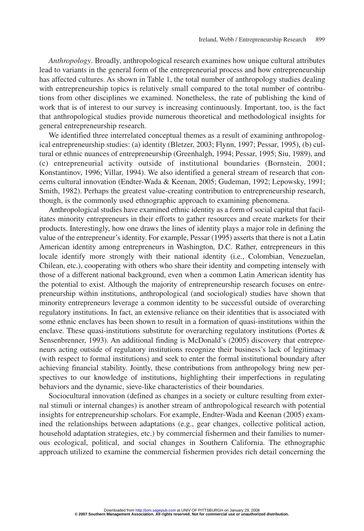*Anthropology*. Broadly, anthropological research examines how unique cultural attributes lead to variants in the general form of the entrepreneurial process and how entrepreneurship has affected cultures. As shown in Table 1, the total number of anthropology studies dealing with entrepreneurship topics is relatively small compared to the total number of contributions from other disciplines we examined. Nonetheless, the rate of publishing the kind of work that is of interest to our survey is increasing continuously. Important, too, is the fact that anthropological studies provide numerous theoretical and methodological insights for general entrepreneurship research.

We identified three interrelated conceptual themes as a result of examining anthropological entrepreneurship studies: (a) identity (Bletzer, 2003; Flynn, 1997; Pessar, 1995), (b) cultural or ethnic nuances of entrepreneurship (Greenhalgh, 1994; Pessar, 1995; Siu, 1989), and (c) entrepreneurial activity outside of institutional boundaries (Bornstein, 2001; Konstantinov, 1996; Villar, 1994). We also identified a general stream of research that concerns cultural innovation (Endter-Wada & Keenan, 2005; Gudeman, 1992; Lepowsky, 1991; Smith, 1982). Perhaps the greatest value-creating contribution to entrepreneurship research, though, is the commonly used ethnographic approach to examining phenomena.

Anthropological studies have examined ethnic identity as a form of social capital that facilitates minority entrepreneurs in their efforts to gather resources and create markets for their products. Interestingly, how one draws the lines of identity plays a major role in defining the value of the entrepreneur's identity. For example, Pessar (1995) asserts that there is not a Latin American identity among entrepreneurs in Washington, D.C. Rather, entrepreneurs in this locale identify more strongly with their national identity (i.e., Colombian, Venezuelan, Chilean, etc.), cooperating with others who share their identity and competing intensely with those of a different national background, even when a common Latin American identity has the potential to exist. Although the majority of entrepreneurship research focuses on entrepreneurship within institutions, anthropological (and sociological) studies have shown that minority entrepreneurs leverage a common identity to be successful outside of overarching regulatory institutions. In fact, an extensive reliance on their identities that is associated with some ethnic enclaves has been shown to result in a formation of quasi-institutions within the enclave. These quasi-institutions substitute for overarching regulatory institutions (Portes & Sensenbrenner, 1993). An additional finding is McDonald's (2005) discovery that entrepreneurs acting outside of regulatory institutions recognize their business's lack of legitimacy (with respect to formal institutions) and seek to enter the formal institutional boundary after achieving financial stability. Jointly, these contributions from anthropology bring new perspectives to our knowledge of institutions, highlighting their imperfections in regulating behaviors and the dynamic, sieve-like characteristics of their boundaries.

Sociocultural innovation (defined as changes in a society or culture resulting from external stimuli or internal changes) is another stream of anthropological research with potential insights for entrepreneurship scholars. For example, Endter-Wada and Keenan (2005) examined the relationships between adaptations (e.g., gear changes, collective political action, household adaptation strategies, etc.) by commercial fishermen and their families to numerous ecological, political, and social changes in Southern California. The ethnographic approach utilized to examine the commercial fishermen provides rich detail concerning the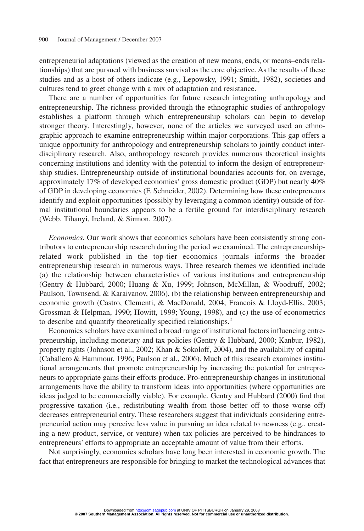entrepreneurial adaptations (viewed as the creation of new means, ends, or means–ends relationships) that are pursued with business survival as the core objective. As the results of these studies and as a host of others indicate (e.g., Lepowsky, 1991; Smith, 1982), societies and cultures tend to greet change with a mix of adaptation and resistance.

There are a number of opportunities for future research integrating anthropology and entrepreneurship. The richness provided through the ethnographic studies of anthropology establishes a platform through which entrepreneurship scholars can begin to develop stronger theory. Interestingly, however, none of the articles we surveyed used an ethnographic approach to examine entrepreneurship within major corporations. This gap offers a unique opportunity for anthropology and entrepreneurship scholars to jointly conduct interdisciplinary research. Also, anthropology research provides numerous theoretical insights concerning institutions and identity with the potential to inform the design of entrepreneurship studies. Entrepreneurship outside of institutional boundaries accounts for, on average, approximately 17% of developed economies' gross domestic product (GDP) but nearly 40% of GDP in developing economies (F. Schneider, 2002). Determining how these entrepreneurs identify and exploit opportunities (possibly by leveraging a common identity) outside of formal institutional boundaries appears to be a fertile ground for interdisciplinary research (Webb, Tihanyi, Ireland, & Sirmon, 2007).

*Economics*. Our work shows that economics scholars have been consistently strong contributors to entrepreneurship research during the period we examined. The entrepreneurshiprelated work published in the top-tier economics journals informs the broader entrepreneurship research in numerous ways. Three research themes we identified include (a) the relationship between characteristics of various institutions and entrepreneurship (Gentry & Hubbard, 2000; Huang & Xu, 1999; Johnson, McMillan, & Woodruff, 2002; Paulson, Townsend, & Karaivanov, 2006), (b) the relationship between entrepreneurship and economic growth (Castro, Clementi, & MacDonald, 2004; Francois & Lloyd-Ellis, 2003; Grossman & Helpman, 1990; Howitt, 1999; Young, 1998), and (c) the use of econometrics to describe and quantify theoretically specified relationships.<sup>2</sup>

Economics scholars have examined a broad range of institutional factors influencing entrepreneurship, including monetary and tax policies (Gentry & Hubbard, 2000; Kanbur, 1982), property rights (Johnson et al., 2002; Khan & Sokoloff, 2004), and the availability of capital (Caballero & Hammour, 1996; Paulson et al., 2006). Much of this research examines institutional arrangements that promote entrepreneurship by increasing the potential for entrepreneurs to appropriate gains their efforts produce. Pro-entrepreneurship changes in institutional arrangements have the ability to transform ideas into opportunities (where opportunities are ideas judged to be commercially viable). For example, Gentry and Hubbard (2000) find that progressive taxation (i.e., redistributing wealth from those better off to those worse off) decreases entrepreneurial entry. These researchers suggest that individuals considering entrepreneurial action may perceive less value in pursuing an idea related to newness (e.g., creating a new product, service, or venture) when tax policies are perceived to be hindrances to entrepreneurs' efforts to appropriate an acceptable amount of value from their efforts.

Not surprisingly, economics scholars have long been interested in economic growth. The fact that entrepreneurs are responsible for bringing to market the technological advances that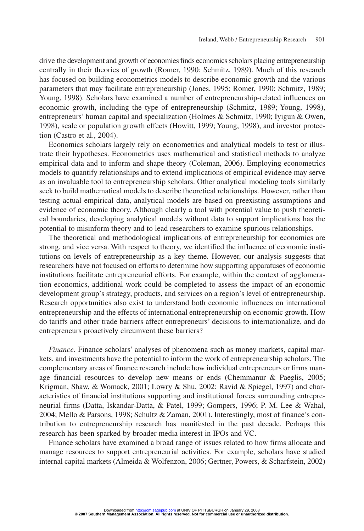drive the development and growth of economies finds economics scholars placing entrepreneurship centrally in their theories of growth (Romer, 1990; Schmitz, 1989). Much of this research has focused on building econometrics models to describe economic growth and the various parameters that may facilitate entrepreneurship (Jones, 1995; Romer, 1990; Schmitz, 1989; Young, 1998). Scholars have examined a number of entrepreneurship-related influences on economic growth, including the type of entrepreneurship (Schmitz, 1989; Young, 1998), entrepreneurs' human capital and specialization (Holmes & Schmitz, 1990; Iyigun & Owen, 1998), scale or population growth effects (Howitt, 1999; Young, 1998), and investor protection (Castro et al., 2004).

Economics scholars largely rely on econometrics and analytical models to test or illustrate their hypotheses. Econometrics uses mathematical and statistical methods to analyze empirical data and to inform and shape theory (Coleman, 2006). Employing econometrics models to quantify relationships and to extend implications of empirical evidence may serve as an invaluable tool to entrepreneurship scholars. Other analytical modeling tools similarly seek to build mathematical models to describe theoretical relationships. However, rather than testing actual empirical data, analytical models are based on preexisting assumptions and evidence of economic theory. Although clearly a tool with potential value to push theoretical boundaries, developing analytical models without data to support implications has the potential to misinform theory and to lead researchers to examine spurious relationships.

The theoretical and methodological implications of entrepreneurship for economics are strong, and vice versa. With respect to theory, we identified the influence of economic institutions on levels of entrepreneurship as a key theme. However, our analysis suggests that researchers have not focused on efforts to determine how supporting apparatuses of economic institutions facilitate entrepreneurial efforts. For example, within the context of agglomeration economics, additional work could be completed to assess the impact of an economic development group's strategy, products, and services on a region's level of entrepreneurship. Research opportunities also exist to understand both economic influences on international entrepreneurship and the effects of international entrepreneurship on economic growth. How do tariffs and other trade barriers affect entrepreneurs' decisions to internationalize, and do entrepreneurs proactively circumvent these barriers?

*Finance*. Finance scholars' analyses of phenomena such as money markets, capital markets, and investments have the potential to inform the work of entrepreneurship scholars. The complementary areas of finance research include how individual entrepreneurs or firms manage financial resources to develop new means or ends (Chemmanur & Paeglis, 2005; Krigman, Shaw, & Womack, 2001; Lowry & Shu, 2002; Ravid & Spiegel, 1997) and characteristics of financial institutions supporting and institutional forces surrounding entrepreneurial firms (Datta, Iskandar-Datta, & Patel, 1999; Gompers, 1996; P. M. Lee & Wahal, 2004; Mello & Parsons, 1998; Schultz & Zaman, 2001). Interestingly, most of finance's contribution to entrepreneurship research has manifested in the past decade. Perhaps this research has been sparked by broader media interest in IPOs and VC.

Finance scholars have examined a broad range of issues related to how firms allocate and manage resources to support entrepreneurial activities. For example, scholars have studied internal capital markets (Almeida & Wolfenzon, 2006; Gertner, Powers, & Scharfstein, 2002)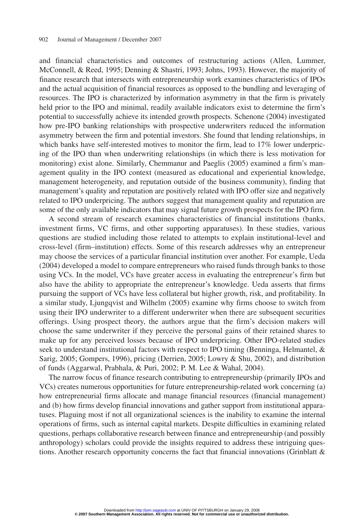and financial characteristics and outcomes of restructuring actions (Allen, Lummer, McConnell, & Reed, 1995; Denning & Shastri, 1993; Johns, 1993). However, the majority of finance research that intersects with entrepreneurship work examines characteristics of IPOs and the actual acquisition of financial resources as opposed to the bundling and leveraging of resources. The IPO is characterized by information asymmetry in that the firm is privately held prior to the IPO and minimal, readily available indicators exist to determine the firm's potential to successfully achieve its intended growth prospects. Schenone (2004) investigated how pre-IPO banking relationships with prospective underwriters reduced the information asymmetry between the firm and potential investors. She found that lending relationships, in which banks have self-interested motives to monitor the firm, lead to 17% lower underpricing of the IPO than when underwriting relationships (in which there is less motivation for monitoring) exist alone. Similarly, Chemmanur and Paeglis (2005) examined a firm's management quality in the IPO context (measured as educational and experiential knowledge, management heterogeneity, and reputation outside of the business community), finding that management's quality and reputation are positively related with IPO offer size and negatively related to IPO underpricing. The authors suggest that management quality and reputation are some of the only available indicators that may signal future growth prospects for the IPO firm.

A second stream of research examines characteristics of financial institutions (banks, investment firms, VC firms, and other supporting apparatuses). In these studies, various questions are studied including those related to attempts to explain institutional-level and cross-level (firm–institution) effects. Some of this research addresses why an entrepreneur may choose the services of a particular financial institution over another. For example, Ueda (2004) developed a model to compare entrepreneurs who raised funds through banks to those using VCs. In the model, VCs have greater access in evaluating the entrepreneur's firm but also have the ability to appropriate the entrepreneur's knowledge. Ueda asserts that firms pursuing the support of VCs have less collateral but higher growth, risk, and profitability. In a similar study, Ljungqvist and Wilhelm (2005) examine why firms choose to switch from using their IPO underwriter to a different underwriter when there are subsequent securities offerings. Using prospect theory, the authors argue that the firm's decision makers will choose the same underwriter if they perceive the personal gains of their retained shares to make up for any perceived losses because of IPO underpricing. Other IPO-related studies seek to understand institutional factors with respect to IPO timing (Benninga, Helmantel, & Sarig, 2005; Gompers, 1996), pricing (Derrien, 2005; Lowry & Shu, 2002), and distribution of funds (Aggarwal, Prabhala, & Puri, 2002; P. M. Lee & Wahal, 2004).

The narrow focus of finance research contributing to entrepreneurship (primarily IPOs and VCs) creates numerous opportunities for future entrepreneurship-related work concerning (a) how entrepreneurial firms allocate and manage financial resources (financial management) and (b) how firms develop financial innovations and gather support from institutional apparatuses. Plaguing most if not all organizational sciences is the inability to examine the internal operations of firms, such as internal capital markets. Despite difficulties in examining related questions, perhaps collaborative research between finance and entrepreneurship (and possibly anthropology) scholars could provide the insights required to address these intriguing questions. Another research opportunity concerns the fact that financial innovations (Grinblatt  $\&$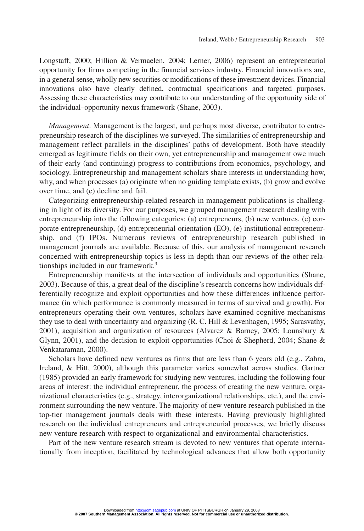Longstaff, 2000; Hillion & Vermaelen, 2004; Lerner, 2006) represent an entrepreneurial opportunity for firms competing in the financial services industry. Financial innovations are, in a general sense, wholly new securities or modifications of these investment devices. Financial innovations also have clearly defined, contractual specifications and targeted purposes. Assessing these characteristics may contribute to our understanding of the opportunity side of the individual–opportunity nexus framework (Shane, 2003).

*Management*. Management is the largest, and perhaps most diverse, contributor to entrepreneurship research of the disciplines we surveyed. The similarities of entrepreneurship and management reflect parallels in the disciplines' paths of development. Both have steadily emerged as legitimate fields on their own, yet entrepreneurship and management owe much of their early (and continuing) progress to contributions from economics, psychology, and sociology. Entrepreneurship and management scholars share interests in understanding how, why, and when processes (a) originate when no guiding template exists, (b) grow and evolve over time, and (c) decline and fail.

Categorizing entrepreneurship-related research in management publications is challenging in light of its diversity. For our purposes, we grouped management research dealing with entrepreneurship into the following categories: (a) entrepreneurs, (b) new ventures, (c) corporate entrepreneurship, (d) entrepreneurial orientation (EO), (e) institutional entrepreneurship, and (f) IPOs. Numerous reviews of entrepreneurship research published in management journals are available. Because of this, our analysis of management research concerned with entrepreneurship topics is less in depth than our reviews of the other relationships included in our framework.3

Entrepreneurship manifests at the intersection of individuals and opportunities (Shane, 2003). Because of this, a great deal of the discipline's research concerns how individuals differentially recognize and exploit opportunities and how these differences influence performance (in which performance is commonly measured in terms of survival and growth). For entrepreneurs operating their own ventures, scholars have examined cognitive mechanisms they use to deal with uncertainty and organizing (R. C. Hill & Levenhagen, 1995; Sarasvathy, 2001), acquisition and organization of resources (Alvarez & Barney, 2005; Lounsbury & Glynn, 2001), and the decision to exploit opportunities (Choi & Shepherd, 2004; Shane & Venkataraman, 2000).

Scholars have defined new ventures as firms that are less than 6 years old (e.g., Zahra, Ireland, & Hitt, 2000), although this parameter varies somewhat across studies. Gartner (1985) provided an early framework for studying new ventures, including the following four areas of interest: the individual entrepreneur, the process of creating the new venture, organizational characteristics (e.g., strategy, interorganizational relationships, etc.), and the environment surrounding the new venture. The majority of new venture research published in the top-tier management journals deals with these interests. Having previously highlighted research on the individual entrepreneurs and entrepreneurial processes, we briefly discuss new venture research with respect to organizational and environmental characteristics.

Part of the new venture research stream is devoted to new ventures that operate internationally from inception, facilitated by technological advances that allow both opportunity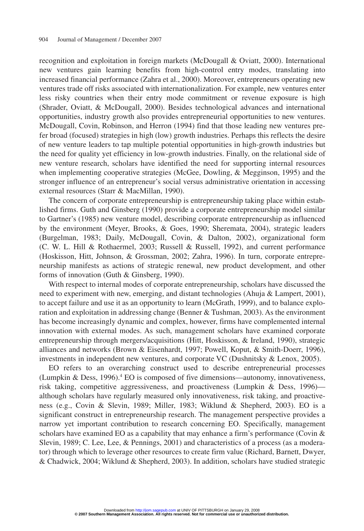recognition and exploitation in foreign markets (McDougall & Oviatt, 2000). International new ventures gain learning benefits from high-control entry modes, translating into increased financial performance (Zahra et al., 2000). Moreover, entrepreneurs operating new ventures trade off risks associated with internationalization. For example, new ventures enter less risky countries when their entry mode commitment or revenue exposure is high (Shrader, Oviatt, & McDougall, 2000). Besides technological advances and international opportunities, industry growth also provides entrepreneurial opportunities to new ventures. McDougall, Covin, Robinson, and Herron (1994) find that those leading new ventures prefer broad (focused) strategies in high (low) growth industries. Perhaps this reflects the desire of new venture leaders to tap multiple potential opportunities in high-growth industries but the need for quality yet efficiency in low-growth industries. Finally, on the relational side of new venture research, scholars have identified the need for supporting internal resources when implementing cooperative strategies (McGee, Dowling, & Megginson, 1995) and the stronger influence of an entrepreneur's social versus administrative orientation in accessing external resources (Starr & MacMillan, 1990).

The concern of corporate entrepreneurship is entrepreneurship taking place within established firms. Guth and Ginsberg (1990) provide a corporate entrepreneurship model similar to Gartner's (1985) new venture model, describing corporate entrepreneurship as influenced by the environment (Meyer, Brooks, & Goes, 1990; Sheremata, 2004), strategic leaders (Burgelman, 1983; Daily, McDougall, Covin, & Dalton, 2002), organizational form (C. W. L. Hill & Rothaermel, 2003; Russell & Russell, 1992), and current performance (Hoskisson, Hitt, Johnson, & Grossman, 2002; Zahra, 1996). In turn, corporate entrepreneurship manifests as actions of strategic renewal, new product development, and other forms of innovation (Guth & Ginsberg, 1990).

With respect to internal modes of corporate entrepreneurship, scholars have discussed the need to experiment with new, emerging, and distant technologies (Ahuja & Lampert, 2001), to accept failure and use it as an opportunity to learn (McGrath, 1999), and to balance exploration and exploitation in addressing change (Benner & Tushman, 2003). As the environment has become increasingly dynamic and complex, however, firms have complemented internal innovation with external modes. As such, management scholars have examined corporate entrepreneurship through mergers/acquisitions (Hitt, Hoskisson, & Ireland, 1990), strategic alliances and networks (Brown & Eisenhardt, 1997; Powell, Koput, & Smith-Doerr, 1996), investments in independent new ventures, and corporate VC (Dushnitsky & Lenox, 2005).

EO refers to an overarching construct used to describe entrepreneurial processes (Lumpkin & Dess,  $1996$ ).<sup>4</sup> EO is composed of five dimensions—autonomy, innovativeness, risk taking, competitive aggressiveness, and proactiveness (Lumpkin & Dess, 1996) although scholars have regularly measured only innovativeness, risk taking, and proactiveness (e.g., Covin & Slevin, 1989; Miller, 1983; Wiklund & Shepherd, 2003). EO is a significant construct in entrepreneurship research. The management perspective provides a narrow yet important contribution to research concerning EO. Specifically, management scholars have examined EO as a capability that may enhance a firm's performance (Covin & Slevin, 1989; C. Lee, Lee, & Pennings, 2001) and characteristics of a process (as a moderator) through which to leverage other resources to create firm value (Richard, Barnett, Dwyer, & Chadwick, 2004; Wiklund & Shepherd, 2003). In addition, scholars have studied strategic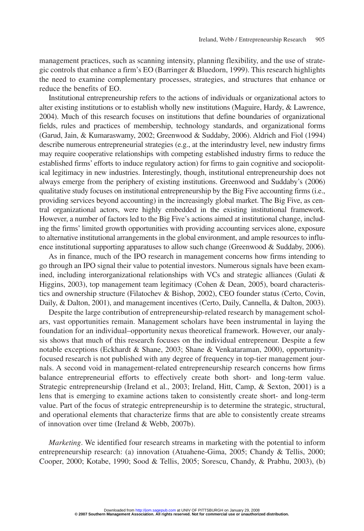management practices, such as scanning intensity, planning flexibility, and the use of strategic controls that enhance a firm's EO (Barringer & Bluedorn, 1999). This research highlights the need to examine complementary processes, strategies, and structures that enhance or reduce the benefits of EO.

Institutional entrepreneurship refers to the actions of individuals or organizational actors to alter existing institutions or to establish wholly new institutions (Maguire, Hardy, & Lawrence, 2004). Much of this research focuses on institutions that define boundaries of organizational fields, rules and practices of membership, technology standards, and organizational forms (Garud, Jain, & Kumaraswamy, 2002; Greenwood & Suddaby, 2006). Aldrich and Fiol (1994) describe numerous entrepreneurial strategies (e.g., at the interindustry level, new industry firms may require cooperative relationships with competing established industry firms to reduce the established firms' efforts to induce regulatory action) for firms to gain cognitive and sociopolitical legitimacy in new industries. Interestingly, though, institutional entrepreneurship does not always emerge from the periphery of existing institutions. Greenwood and Suddaby's (2006) qualitative study focuses on institutional entrepreneurship by the Big Five accounting firms (i.e., providing services beyond accounting) in the increasingly global market. The Big Five, as central organizational actors, were highly embedded in the existing institutional framework. However, a number of factors led to the Big Five's actions aimed at institutional change, including the firms' limited growth opportunities with providing accounting services alone, exposure to alternative institutional arrangements in the global environment, and ample resources to influence institutional supporting apparatuses to allow such change (Greenwood & Suddaby, 2006).

As in finance, much of the IPO research in management concerns how firms intending to go through an IPO signal their value to potential investors. Numerous signals have been examined, including interorganizational relationships with VCs and strategic alliances (Gulati  $\&$ Higgins, 2003), top management team legitimacy (Cohen & Dean, 2005), board characteristics and ownership structure (Filatochev & Bishop, 2002), CEO founder status (Certo, Covin, Daily, & Dalton, 2001), and management incentives (Certo, Daily, Cannella, & Dalton, 2003).

Despite the large contribution of entrepreneurship-related research by management scholars, vast opportunities remain. Management scholars have been instrumental in laying the foundation for an individual–opportunity nexus theoretical framework. However, our analysis shows that much of this research focuses on the individual entrepreneur. Despite a few notable exceptions (Eckhardt & Shane, 2003; Shane & Venkataraman, 2000), opportunityfocused research is not published with any degree of frequency in top-tier management journals. A second void in management-related entrepreneurship research concerns how firms balance entrepreneurial efforts to effectively create both short- and long-term value. Strategic entrepreneurship (Ireland et al., 2003; Ireland, Hitt, Camp, & Sexton, 2001) is a lens that is emerging to examine actions taken to consistently create short- and long-term value. Part of the focus of strategic entrepreneurship is to determine the strategic, structural, and operational elements that characterize firms that are able to consistently create streams of innovation over time (Ireland & Webb, 2007b).

*Marketing*. We identified four research streams in marketing with the potential to inform entrepreneurship research: (a) innovation (Atuahene-Gima, 2005; Chandy & Tellis, 2000; Cooper, 2000; Kotabe, 1990; Sood & Tellis, 2005; Sorescu, Chandy, & Prabhu, 2003), (b)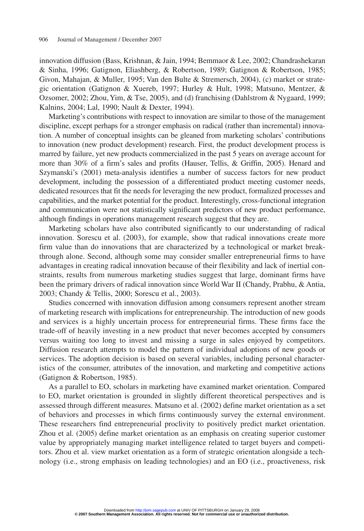innovation diffusion (Bass, Krishnan, & Jain, 1994; Bemmaor & Lee, 2002; Chandrashekaran & Sinha, 1996; Gatignon, Eliashberg, & Robertson, 1989; Gatignon & Robertson, 1985; Givon, Mahajan, & Muller, 1995; Van den Bulte & Stremersch, 2004), (c) market or strategic orientation (Gatignon & Xuereb, 1997; Hurley & Hult, 1998; Matsuno, Mentzer, & Ozsomer, 2002; Zhou, Yim, & Tse, 2005), and (d) franchising (Dahlstrom & Nygaard, 1999; Kalnins, 2004; Lal, 1990; Nault & Dexter, 1994).

Marketing's contributions with respect to innovation are similar to those of the management discipline, except perhaps for a stronger emphasis on radical (rather than incremental) innovation. A number of conceptual insights can be gleaned from marketing scholars' contributions to innovation (new product development) research. First, the product development process is marred by failure, yet new products commercialized in the past 5 years on average account for more than 30% of a firm's sales and profits (Hauser, Tellis, & Griffin, 2005). Henard and Szymanski's (2001) meta-analysis identifies a number of success factors for new product development, including the possession of a differentiated product meeting customer needs, dedicated resources that fit the needs for leveraging the new product, formalized processes and capabilities, and the market potential for the product. Interestingly, cross-functional integration and communication were not statistically significant predictors of new product performance, although findings in operations management research suggest that they are.

Marketing scholars have also contributed significantly to our understanding of radical innovation. Sorescu et al. (2003), for example, show that radical innovations create more firm value than do innovations that are characterized by a technological or market breakthrough alone. Second, although some may consider smaller entrepreneurial firms to have advantages in creating radical innovation because of their flexibility and lack of inertial constraints, results from numerous marketing studies suggest that large, dominant firms have been the primary drivers of radical innovation since World War II (Chandy, Prabhu, & Antia, 2003; Chandy & Tellis, 2000; Sorescu et al., 2003).

Studies concerned with innovation diffusion among consumers represent another stream of marketing research with implications for entrepreneurship. The introduction of new goods and services is a highly uncertain process for entrepreneurial firms. These firms face the trade-off of heavily investing in a new product that never becomes accepted by consumers versus waiting too long to invest and missing a surge in sales enjoyed by competitors. Diffusion research attempts to model the pattern of individual adoptions of new goods or services. The adoption decision is based on several variables, including personal characteristics of the consumer, attributes of the innovation, and marketing and competitive actions (Gatignon & Robertson, 1985).

As a parallel to EO, scholars in marketing have examined market orientation. Compared to EO, market orientation is grounded in slightly different theoretical perspectives and is assessed through different measures. Matsuno et al. (2002) define market orientation as a set of behaviors and processes in which firms continuously survey the external environment. These researchers find entrepreneurial proclivity to positively predict market orientation. Zhou et al. (2005) define market orientation as an emphasis on creating superior customer value by appropriately managing market intelligence related to target buyers and competitors. Zhou et al. view market orientation as a form of strategic orientation alongside a technology (i.e., strong emphasis on leading technologies) and an EO (i.e., proactiveness, risk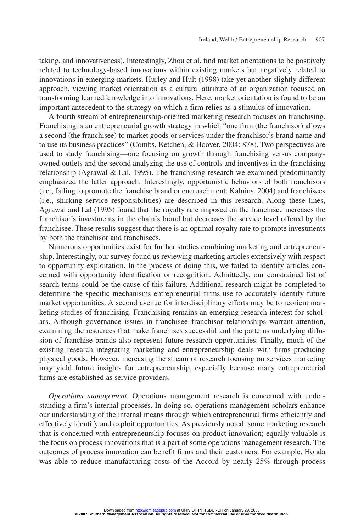taking, and innovativeness). Interestingly, Zhou et al. find market orientations to be positively related to technology-based innovations within existing markets but negatively related to innovations in emerging markets. Hurley and Hult (1998) take yet another slightly different approach, viewing market orientation as a cultural attribute of an organization focused on transforming learned knowledge into innovations. Here, market orientation is found to be an important antecedent to the strategy on which a firm relies as a stimulus of innovation.

A fourth stream of entrepreneurship-oriented marketing research focuses on franchising. Franchising is an entrepreneurial growth strategy in which "one firm (the franchisor) allows a second (the franchisee) to market goods or services under the franchisor's brand name and to use its business practices" (Combs, Ketchen, & Hoover, 2004: 878). Two perspectives are used to study franchising—one focusing on growth through franchising versus companyowned outlets and the second analyzing the use of controls and incentives in the franchising relationship (Agrawal & Lal, 1995). The franchising research we examined predominantly emphasized the latter approach. Interestingly, opportunistic behaviors of both franchisors (i.e., failing to promote the franchise brand or encroachment; Kalnins, 2004) and franchisees (i.e., shirking service responsibilities) are described in this research. Along these lines, Agrawal and Lal (1995) found that the royalty rate imposed on the franchisee increases the franchisor's investments in the chain's brand but decreases the service level offered by the franchisee. These results suggest that there is an optimal royalty rate to promote investments by both the franchisor and franchisees.

Numerous opportunities exist for further studies combining marketing and entrepreneurship. Interestingly, our survey found us reviewing marketing articles extensively with respect to opportunity exploitation. In the process of doing this, we failed to identify articles concerned with opportunity identification or recognition. Admittedly, our constrained list of search terms could be the cause of this failure. Additional research might be completed to determine the specific mechanisms entrepreneurial firms use to accurately identify future market opportunities. A second avenue for interdisciplinary efforts may be to reorient marketing studies of franchising. Franchising remains an emerging research interest for scholars. Although governance issues in franchisee–franchisor relationships warrant attention, examining the resources that make franchises successful and the patterns underlying diffusion of franchise brands also represent future research opportunities. Finally, much of the existing research integrating marketing and entrepreneurship deals with firms producing physical goods. However, increasing the stream of research focusing on services marketing may yield future insights for entrepreneurship, especially because many entrepreneurial firms are established as service providers.

*Operations management*. Operations management research is concerned with understanding a firm's internal processes. In doing so, operations management scholars enhance our understanding of the internal means through which entrepreneurial firms efficiently and effectively identify and exploit opportunities. As previously noted, some marketing research that is concerned with entrepreneurship focuses on product innovation; equally valuable is the focus on process innovations that is a part of some operations management research. The outcomes of process innovation can benefit firms and their customers. For example, Honda was able to reduce manufacturing costs of the Accord by nearly 25% through process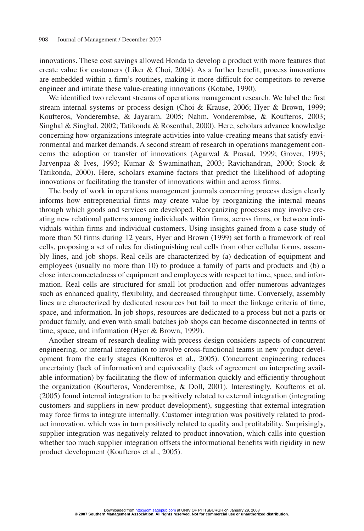innovations. These cost savings allowed Honda to develop a product with more features that create value for customers (Liker & Choi, 2004). As a further benefit, process innovations are embedded within a firm's routines, making it more difficult for competitors to reverse engineer and imitate these value-creating innovations (Kotabe, 1990).

We identified two relevant streams of operations management research*.* We label the first stream internal systems or process design (Choi & Krause, 2006; Hyer & Brown, 1999; Koufteros, Vonderembse, & Jayaram, 2005; Nahm, Vonderembse, & Koufteros, 2003; Singhal & Singhal, 2002; Tatikonda & Rosenthal, 2000). Here, scholars advance knowledge concerning how organizations integrate activities into value-creating means that satisfy environmental and market demands. A second stream of research in operations management concerns the adoption or transfer of innovations (Agarwal & Prasad, 1999; Grover, 1993; Jarvenpaa & Ives, 1993; Kumar & Swaminathan, 2003; Ravichandran, 2000; Stock & Tatikonda, 2000). Here, scholars examine factors that predict the likelihood of adopting innovations or facilitating the transfer of innovations within and across firms.

The body of work in operations management journals concerning process design clearly informs how entrepreneurial firms may create value by reorganizing the internal means through which goods and services are developed. Reorganizing processes may involve creating new relational patterns among individuals within firms, across firms, or between individuals within firms and individual customers. Using insights gained from a case study of more than 50 firms during 12 years, Hyer and Brown (1999) set forth a framework of real cells, proposing a set of rules for distinguishing real cells from other cellular forms, assembly lines, and job shops. Real cells are characterized by (a) dedication of equipment and employees (usually no more than 10) to produce a family of parts and products and (b) a close interconnectedness of equipment and employees with respect to time, space, and information. Real cells are structured for small lot production and offer numerous advantages such as enhanced quality, flexibility, and decreased throughput time. Conversely, assembly lines are characterized by dedicated resources but fail to meet the linkage criteria of time, space, and information. In job shops, resources are dedicated to a process but not a parts or product family, and even with small batches job shops can become disconnected in terms of time, space, and information (Hyer & Brown, 1999).

Another stream of research dealing with process design considers aspects of concurrent engineering, or internal integration to involve cross-functional teams in new product development from the early stages (Koufteros et al., 2005). Concurrent engineering reduces uncertainty (lack of information) and equivocality (lack of agreement on interpreting available information) by facilitating the flow of information quickly and efficiently throughout the organization (Koufteros, Vonderembse, & Doll, 2001). Interestingly, Koufteros et al. (2005) found internal integration to be positively related to external integration (integrating customers and suppliers in new product development), suggesting that external integration may force firms to integrate internally. Customer integration was positively related to product innovation, which was in turn positively related to quality and profitability. Surprisingly, supplier integration was negatively related to product innovation, which calls into question whether too much supplier integration offsets the informational benefits with rigidity in new product development (Koufteros et al., 2005).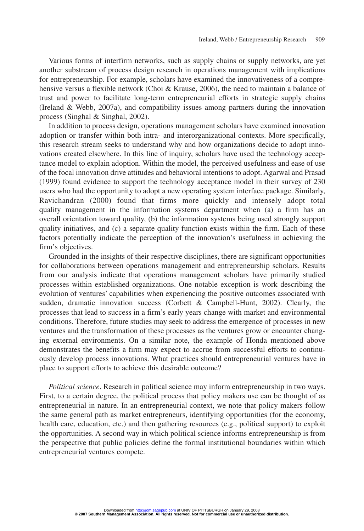Various forms of interfirm networks, such as supply chains or supply networks, are yet another substream of process design research in operations management with implications for entrepreneurship. For example, scholars have examined the innovativeness of a comprehensive versus a flexible network (Choi & Krause, 2006), the need to maintain a balance of trust and power to facilitate long-term entrepreneurial efforts in strategic supply chains (Ireland & Webb, 2007a), and compatibility issues among partners during the innovation process (Singhal & Singhal, 2002).

In addition to process design, operations management scholars have examined innovation adoption or transfer within both intra- and interorganizational contexts. More specifically, this research stream seeks to understand why and how organizations decide to adopt innovations created elsewhere. In this line of inquiry, scholars have used the technology acceptance model to explain adoption. Within the model, the perceived usefulness and ease of use of the focal innovation drive attitudes and behavioral intentions to adopt. Agarwal and Prasad (1999) found evidence to support the technology acceptance model in their survey of 230 users who had the opportunity to adopt a new operating system interface package. Similarly, Ravichandran (2000) found that firms more quickly and intensely adopt total quality management in the information systems department when (a) a firm has an overall orientation toward quality, (b) the information systems being used strongly support quality initiatives, and (c) a separate quality function exists within the firm. Each of these factors potentially indicate the perception of the innovation's usefulness in achieving the firm's objectives.

Grounded in the insights of their respective disciplines, there are significant opportunities for collaborations between operations management and entrepreneurship scholars. Results from our analysis indicate that operations management scholars have primarily studied processes within established organizations. One notable exception is work describing the evolution of ventures' capabilities when experiencing the positive outcomes associated with sudden, dramatic innovation success (Corbett & Campbell-Hunt, 2002). Clearly, the processes that lead to success in a firm's early years change with market and environmental conditions. Therefore, future studies may seek to address the emergence of processes in new ventures and the transformation of these processes as the ventures grow or encounter changing external environments. On a similar note, the example of Honda mentioned above demonstrates the benefits a firm may expect to accrue from successful efforts to continuously develop process innovations. What practices should entrepreneurial ventures have in place to support efforts to achieve this desirable outcome?

*Political science*. Research in political science may inform entrepreneurship in two ways. First, to a certain degree, the political process that policy makers use can be thought of as entrepreneurial in nature. In an entrepreneurial context, we note that policy makers follow the same general path as market entrepreneurs, identifying opportunities (for the economy, health care, education, etc.) and then gathering resources (e.g., political support) to exploit the opportunities. A second way in which political science informs entrepreneurship is from the perspective that public policies define the formal institutional boundaries within which entrepreneurial ventures compete.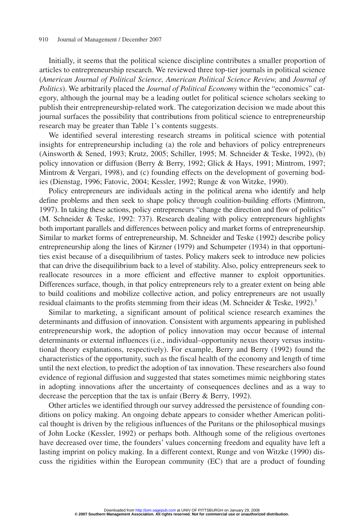Initially, it seems that the political science discipline contributes a smaller proportion of articles to entrepreneurship research. We reviewed three top-tier journals in political science (*American Journal of Political Science, American Political Science Review,* and *Journal of Politics*). We arbitrarily placed the *Journal of Political Economy* within the "economics" category, although the journal may be a leading outlet for political science scholars seeking to publish their entrepreneurship-related work. The categorization decision we made about this journal surfaces the possibility that contributions from political science to entrepreneurship research may be greater than Table 1's contents suggests.

We identified several interesting research streams in political science with potential insights for entrepreneurship including (a) the role and behaviors of policy entrepreneurs (Ainsworth & Sened, 1993; Krutz, 2005; Schiller, 1995; M. Schneider & Teske, 1992), (b) policy innovation or diffusion (Berry & Berry, 1992; Glick & Hays, 1991; Mintrom, 1997; Mintrom & Vergari, 1998), and (c) founding effects on the development of governing bodies (Dienstag, 1996; Fatovic, 2004; Kessler, 1992; Runge & von Witzke, 1990).

Policy entrepreneurs are individuals acting in the political arena who identify and help define problems and then seek to shape policy through coalition-building efforts (Mintrom, 1997). In taking these actions, policy entrepreneurs "change the direction and flow of politics" (M. Schneider & Teske, 1992: 737). Research dealing with policy entrepreneurs highlights both important parallels and differences between policy and market forms of entrepreneurship. Similar to market forms of entrepreneurship, M. Schneider and Teske (1992) describe policy entrepreneurship along the lines of Kirzner (1979) and Schumpeter (1934) in that opportunities exist because of a disequilibrium of tastes. Policy makers seek to introduce new policies that can drive the disequilibrium back to a level of stability. Also, policy entrepreneurs seek to reallocate resources in a more efficient and effective manner to exploit opportunities. Differences surface, though, in that policy entrepreneurs rely to a greater extent on being able to build coalitions and mobilize collective action, and policy entrepreneurs are not usually residual claimants to the profits stemming from their ideas (M. Schneider & Teske, 1992).<sup>5</sup>

Similar to marketing, a significant amount of political science research examines the determinants and diffusion of innovation. Consistent with arguments appearing in published entrepreneurship work, the adoption of policy innovation may occur because of internal determinants or external influences (i.e., individual–opportunity nexus theory versus institutional theory explanations, respectively). For example, Berry and Berry (1992) found the characteristics of the opportunity, such as the fiscal health of the economy and length of time until the next election, to predict the adoption of tax innovation. These researchers also found evidence of regional diffusion and suggested that states sometimes mimic neighboring states in adopting innovations after the uncertainty of consequences declines and as a way to decrease the perception that the tax is unfair (Berry & Berry, 1992).

Other articles we identified through our survey addressed the persistence of founding conditions on policy making. An ongoing debate appears to consider whether American political thought is driven by the religious influences of the Puritans or the philosophical musings of John Locke (Kessler, 1992) or perhaps both. Although some of the religious overtones have decreased over time, the founders' values concerning freedom and equality have left a lasting imprint on policy making. In a different context, Runge and von Witzke (1990) discuss the rigidities within the European community (EC) that are a product of founding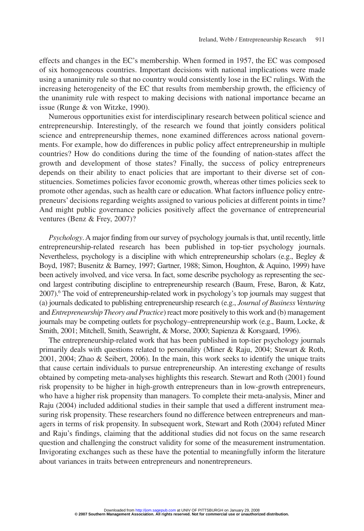effects and changes in the EC's membership. When formed in 1957, the EC was composed of six homogeneous countries. Important decisions with national implications were made using a unanimity rule so that no country would consistently lose in the EC rulings. With the increasing heterogeneity of the EC that results from membership growth, the efficiency of the unanimity rule with respect to making decisions with national importance became an issue (Runge & von Witzke, 1990).

Numerous opportunities exist for interdisciplinary research between political science and entrepreneurship. Interestingly, of the research we found that jointly considers political science and entrepreneurship themes, none examined differences across national governments. For example, how do differences in public policy affect entrepreneurship in multiple countries? How do conditions during the time of the founding of nation-states affect the growth and development of those states? Finally, the success of policy entrepreneurs depends on their ability to enact policies that are important to their diverse set of constituencies. Sometimes policies favor economic growth, whereas other times policies seek to promote other agendas, such as health care or education. What factors influence policy entrepreneurs' decisions regarding weights assigned to various policies at different points in time? And might public governance policies positively affect the governance of entrepreneurial ventures (Benz & Frey, 2007)?

*Psychology*. A major finding from our survey of psychology journals is that, until recently, little entrepreneurship-related research has been published in top-tier psychology journals. Nevertheless, psychology is a discipline with which entrepreneurship scholars (e.g., Begley & Boyd, 1987; Busenitz & Barney, 1997; Gartner, 1988; Simon, Houghton, & Aquino, 1999) have been actively involved, and vice versa. In fact, some describe psychology as representing the second largest contributing discipline to entrepreneurship research (Baum, Frese, Baron, & Katz, 2007).6 The void of entrepreneurship-related work in psychology's top journals may suggest that (a) journals dedicated to publishing entrepreneurship research (e.g., *Journal of Business Venturing* and *Entrepreneurship Theory and Practice*) react more positively to this work and (b) management journals may be competing outlets for psychology–entrepreneurship work (e.g., Baum, Locke, & Smith, 2001; Mitchell, Smith, Seawright, & Morse, 2000; Sapienza & Korsgaard, 1996).

The entrepreneurship-related work that has been published in top-tier psychology journals primarily deals with questions related to personality (Miner & Raju, 2004; Stewart & Roth, 2001, 2004; Zhao & Seibert, 2006). In the main, this work seeks to identify the unique traits that cause certain individuals to pursue entrepreneurship. An interesting exchange of results obtained by competing meta-analyses highlights this research. Stewart and Roth (2001) found risk propensity to be higher in high-growth entrepreneurs than in low-growth entrepreneurs, who have a higher risk propensity than managers. To complete their meta-analysis, Miner and Raju (2004) included additional studies in their sample that used a different instrument measuring risk propensity. These researchers found no difference between entrepreneurs and managers in terms of risk propensity. In subsequent work, Stewart and Roth (2004) refuted Miner and Raju's findings, claiming that the additional studies did not focus on the same research question and challenging the construct validity for some of the measurement instrumentation. Invigorating exchanges such as these have the potential to meaningfully inform the literature about variances in traits between entrepreneurs and nonentrepreneurs.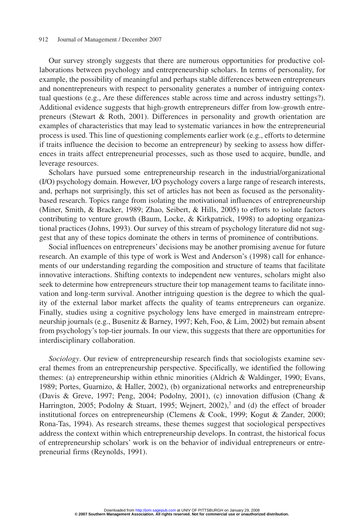Our survey strongly suggests that there are numerous opportunities for productive collaborations between psychology and entrepreneurship scholars. In terms of personality, for example, the possibility of meaningful and perhaps stable differences between entrepreneurs and nonentrepreneurs with respect to personality generates a number of intriguing contextual questions (e.g., Are these differences stable across time and across industry settings?). Additional evidence suggests that high-growth entrepreneurs differ from low-growth entrepreneurs (Stewart & Roth, 2001). Differences in personality and growth orientation are examples of characteristics that may lead to systematic variances in how the entrepreneurial process is used. This line of questioning complements earlier work (e.g., efforts to determine if traits influence the decision to become an entrepreneur) by seeking to assess how differences in traits affect entrepreneurial processes, such as those used to acquire, bundle, and leverage resources.

Scholars have pursued some entrepreneurship research in the industrial/organizational (I/O) psychology domain. However, I/O psychology covers a large range of research interests, and, perhaps not surprisingly, this set of articles has not been as focused as the personalitybased research. Topics range from isolating the motivational influences of entrepreneurship (Miner, Smith, & Bracker, 1989; Zhao, Seibert, & Hills, 2005) to efforts to isolate factors contributing to venture growth (Baum, Locke, & Kirkpatrick, 1998) to adopting organizational practices (Johns, 1993). Our survey of this stream of psychology literature did not suggest that any of these topics dominate the others in terms of prominence of contributions.

Social influences on entrepreneurs' decisions may be another promising avenue for future research. An example of this type of work is West and Anderson's (1998) call for enhancements of our understanding regarding the composition and structure of teams that facilitate innovative interactions. Shifting contexts to independent new ventures, scholars might also seek to determine how entrepreneurs structure their top management teams to facilitate innovation and long-term survival. Another intriguing question is the degree to which the quality of the external labor market affects the quality of teams entrepreneurs can organize. Finally, studies using a cognitive psychology lens have emerged in mainstream entrepreneurship journals (e.g., Busenitz & Barney, 1997; Keh, Foo, & Lim, 2002) but remain absent from psychology's top-tier journals. In our view, this suggests that there are opportunities for interdisciplinary collaboration.

*Sociology*. Our review of entrepreneurship research finds that sociologists examine several themes from an entrepreneurship perspective. Specifically, we identified the following themes: (a) entrepreneurship within ethnic minorities (Aldrich & Waldinger, 1990; Evans, 1989; Portes, Guarnizo, & Haller, 2002), (b) organizational networks and entrepreneurship (Davis & Greve, 1997; Peng, 2004; Podolny, 2001), (c) innovation diffusion (Chang & Harrington, 2005; Podolny & Stuart, 1995; Wejnert, 2002),<sup>7</sup> and (d) the effect of broader institutional forces on entrepreneurship (Clemens & Cook, 1999; Kogut & Zander, 2000; Rona-Tas, 1994). As research streams, these themes suggest that sociological perspectives address the context within which entrepreneurship develops. In contrast, the historical focus of entrepreneurship scholars' work is on the behavior of individual entrepreneurs or entrepreneurial firms (Reynolds, 1991).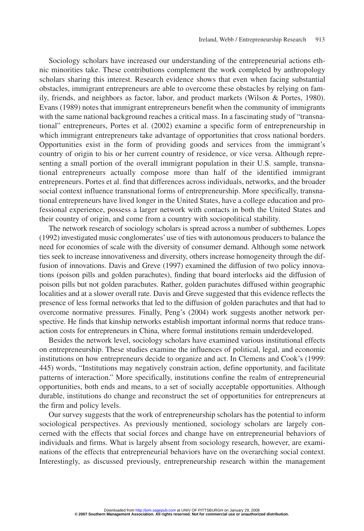Sociology scholars have increased our understanding of the entrepreneurial actions ethnic minorities take. These contributions complement the work completed by anthropology scholars sharing this interest. Research evidence shows that even when facing substantial obstacles, immigrant entrepreneurs are able to overcome these obstacles by relying on family, friends, and neighbors as factor, labor, and product markets (Wilson & Portes, 1980). Evans (1989) notes that immigrant entrepreneurs benefit when the community of immigrants with the same national background reaches a critical mass. In a fascinating study of "transnational" entrepreneurs, Portes et al. (2002) examine a specific form of entrepreneurship in which immigrant entrepreneurs take advantage of opportunities that cross national borders. Opportunities exist in the form of providing goods and services from the immigrant's country of origin to his or her current country of residence, or vice versa. Although representing a small portion of the overall immigrant population in their U.S. sample, transnational entrepreneurs actually compose more than half of the identified immigrant entrepreneurs. Portes et al. find that differences across individuals, networks, and the broader social context influence transnational forms of entrepreneurship. More specifically, transnational entrepreneurs have lived longer in the United States, have a college education and professional experience, possess a larger network with contacts in both the United States and their country of origin, and come from a country with sociopolitical stability.

The network research of sociology scholars is spread across a number of subthemes. Lopes (1992) investigated music conglomerates'use of ties with autonomous producers to balance the need for economies of scale with the diversity of consumer demand. Although some network ties seek to increase innovativeness and diversity, others increase homogeneity through the diffusion of innovations. Davis and Greve (1997) examined the diffusion of two policy innovations (poison pills and golden parachutes), finding that board interlocks aid the diffusion of poison pills but not golden parachutes. Rather, golden parachutes diffused within geographic localities and at a slower overall rate. Davis and Greve suggested that this evidence reflects the presence of less formal networks that led to the diffusion of golden parachutes and that had to overcome normative pressures. Finally, Peng's (2004) work suggests another network perspective. He finds that kinship networks establish important informal norms that reduce transaction costs for entrepreneurs in China, where formal institutions remain underdeveloped.

Besides the network level, sociology scholars have examined various institutional effects on entrepreneurship. These studies examine the influences of political, legal, and economic institutions on how entrepreneurs decide to organize and act. In Clemens and Cook's (1999: 445) words, "Institutions may negatively constrain action, define opportunity, and facilitate patterns of interaction." More specifically, institutions confine the realm of entrepreneurial opportunities, both ends and means, to a set of socially acceptable opportunities. Although durable, institutions do change and reconstruct the set of opportunities for entrepreneurs at the firm and policy levels.

Our survey suggests that the work of entrepreneurship scholars has the potential to inform sociological perspectives. As previously mentioned, sociology scholars are largely concerned with the effects that social forces and change have on entrepreneurial behaviors of individuals and firms. What is largely absent from sociology research, however, are examinations of the effects that entrepreneurial behaviors have on the overarching social context. Interestingly, as discussed previously, entrepreneurship research within the management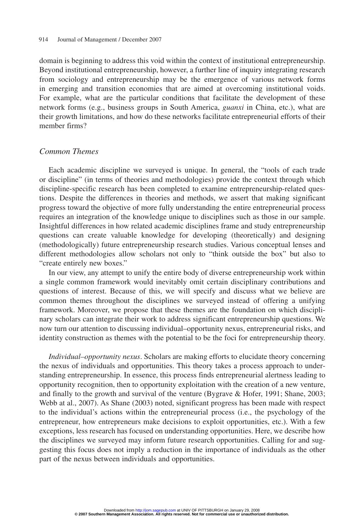domain is beginning to address this void within the context of institutional entrepreneurship. Beyond institutional entrepreneurship, however, a further line of inquiry integrating research from sociology and entrepreneurship may be the emergence of various network forms in emerging and transition economies that are aimed at overcoming institutional voids. For example, what are the particular conditions that facilitate the development of these network forms (e.g., business groups in South America, *guanxi* in China, etc.), what are their growth limitations, and how do these networks facilitate entrepreneurial efforts of their member firms?

#### *Common Themes*

Each academic discipline we surveyed is unique. In general, the "tools of each trade or discipline" (in terms of theories and methodologies) provide the context through which discipline-specific research has been completed to examine entrepreneurship-related questions. Despite the differences in theories and methods, we assert that making significant progress toward the objective of more fully understanding the entire entrepreneurial process requires an integration of the knowledge unique to disciplines such as those in our sample. Insightful differences in how related academic disciplines frame and study entrepreneurship questions can create valuable knowledge for developing (theoretically) and designing (methodologically) future entrepreneurship research studies. Various conceptual lenses and different methodologies allow scholars not only to "think outside the box" but also to "create entirely new boxes."

In our view, any attempt to unify the entire body of diverse entrepreneurship work within a single common framework would inevitably omit certain disciplinary contributions and questions of interest. Because of this, we will specify and discuss what we believe are common themes throughout the disciplines we surveyed instead of offering a unifying framework. Moreover, we propose that these themes are the foundation on which disciplinary scholars can integrate their work to address significant entrepreneurship questions. We now turn our attention to discussing individual–opportunity nexus, entrepreneurial risks, and identity construction as themes with the potential to be the foci for entrepreneurship theory.

*Individual–opportunity nexus*. Scholars are making efforts to elucidate theory concerning the nexus of individuals and opportunities. This theory takes a process approach to understanding entrepreneurship. In essence, this process finds entrepreneurial alertness leading to opportunity recognition, then to opportunity exploitation with the creation of a new venture, and finally to the growth and survival of the venture (Bygrave & Hofer, 1991; Shane, 2003; Webb at al., 2007). As Shane (2003) noted, significant progress has been made with respect to the individual's actions within the entrepreneurial process (i.e., the psychology of the entrepreneur, how entrepreneurs make decisions to exploit opportunities, etc.). With a few exceptions, less research has focused on understanding opportunities. Here, we describe how the disciplines we surveyed may inform future research opportunities. Calling for and suggesting this focus does not imply a reduction in the importance of individuals as the other part of the nexus between individuals and opportunities.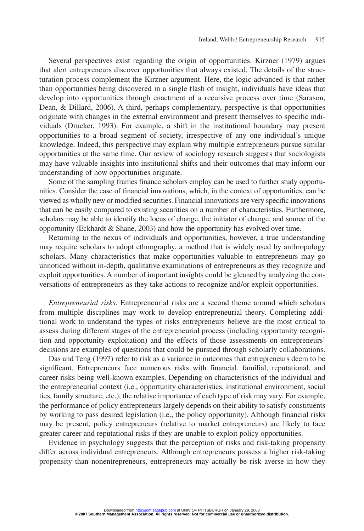Several perspectives exist regarding the origin of opportunities. Kirzner (1979) argues that alert entrepreneurs discover opportunities that always existed. The details of the structuration process complement the Kirzner argument. Here, the logic advanced is that rather than opportunities being discovered in a single flash of insight, individuals have ideas that develop into opportunities through enactment of a recursive process over time (Sarason, Dean, & Dillard, 2006). A third, perhaps complementary, perspective is that opportunities originate with changes in the external environment and present themselves to specific individuals (Drucker, 1993). For example, a shift in the institutional boundary may present opportunities to a broad segment of society, irrespective of any one individual's unique knowledge. Indeed, this perspective may explain why multiple entrepreneurs pursue similar opportunities at the same time. Our review of sociology research suggests that sociologists may have valuable insights into institutional shifts and their outcomes that may inform our understanding of how opportunities originate.

Some of the sampling frames finance scholars employ can be used to further study opportunities. Consider the case of financial innovations, which, in the context of opportunities, can be viewed as wholly new or modified securities. Financial innovations are very specific innovations that can be easily compared to existing securities on a number of characteristics. Furthermore, scholars may be able to identify the locus of change, the initiator of change, and source of the opportunity (Eckhardt & Shane, 2003) and how the opportunity has evolved over time.

Returning to the nexus of individuals and opportunities, however, a true understanding may require scholars to adopt ethnography, a method that is widely used by anthropology scholars. Many characteristics that make opportunities valuable to entrepreneurs may go unnoticed without in-depth, qualitative examinations of entrepreneurs as they recognize and exploit opportunities. A number of important insights could be gleaned by analyzing the conversations of entrepreneurs as they take actions to recognize and/or exploit opportunities.

*Entrepreneurial risks*. Entrepreneurial risks are a second theme around which scholars from multiple disciplines may work to develop entrepreneurial theory. Completing additional work to understand the types of risks entrepreneurs believe are the most critical to assess during different stages of the entrepreneurial process (including opportunity recognition and opportunity exploitation) and the effects of those assessments on entrepreneurs' decisions are examples of questions that could be pursued through scholarly collaborations.

Das and Teng (1997) refer to risk as a variance in outcomes that entrepreneurs deem to be significant. Entrepreneurs face numerous risks with financial, familial, reputational, and career risks being well-known examples. Depending on characteristics of the individual and the entrepreneurial context (i.e., opportunity characteristics, institutional environment, social ties, family structure, etc.), the relative importance of each type of risk may vary. For example, the performance of policy entrepreneurs largely depends on their ability to satisfy constituents by working to pass desired legislation (i.e., the policy opportunity). Although financial risks may be present, policy entrepreneurs (relative to market entrepreneurs) are likely to face greater career and reputational risks if they are unable to exploit policy opportunities.

Evidence in psychology suggests that the perception of risks and risk-taking propensity differ across individual entrepreneurs. Although entrepreneurs possess a higher risk-taking propensity than nonentrepreneurs, entrepreneurs may actually be risk averse in how they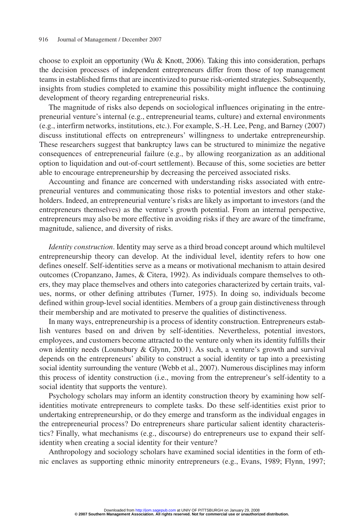choose to exploit an opportunity (Wu & Knott, 2006). Taking this into consideration, perhaps the decision processes of independent entrepreneurs differ from those of top management teams in established firms that are incentivized to pursue risk-oriented strategies. Subsequently, insights from studies completed to examine this possibility might influence the continuing development of theory regarding entrepreneurial risks.

The magnitude of risks also depends on sociological influences originating in the entrepreneurial venture's internal (e.g., entrepreneurial teams, culture) and external environments (e.g., interfirm networks, institutions, etc.). For example, S.-H. Lee, Peng, and Barney (2007) discuss institutional effects on entrepreneurs' willingness to undertake entrepreneurship. These researchers suggest that bankruptcy laws can be structured to minimize the negative consequences of entrepreneurial failure (e.g., by allowing reorganization as an additional option to liquidation and out-of-court settlement). Because of this, some societies are better able to encourage entrepreneurship by decreasing the perceived associated risks.

Accounting and finance are concerned with understanding risks associated with entrepreneurial ventures and communicating those risks to potential investors and other stakeholders. Indeed, an entrepreneurial venture's risks are likely as important to investors (and the entrepreneurs themselves) as the venture's growth potential. From an internal perspective, entrepreneurs may also be more effective in avoiding risks if they are aware of the timeframe, magnitude, salience, and diversity of risks.

*Identity construction*. Identity may serve as a third broad concept around which multilevel entrepreneurship theory can develop. At the individual level, identity refers to how one defines oneself. Self-identities serve as a means or motivational mechanism to attain desired outcomes (Cropanzano, James, & Citera, 1992). As individuals compare themselves to others, they may place themselves and others into categories characterized by certain traits, values, norms, or other defining attributes (Turner, 1975). In doing so, individuals become defined within group-level social identities. Members of a group gain distinctiveness through their membership and are motivated to preserve the qualities of distinctiveness.

In many ways, entrepreneurship is a process of identity construction. Entrepreneurs establish ventures based on and driven by self-identities. Nevertheless, potential investors, employees, and customers become attracted to the venture only when its identity fulfills their own identity needs (Lounsbury & Glynn, 2001). As such, a venture's growth and survival depends on the entrepreneurs' ability to construct a social identity or tap into a preexisting social identity surrounding the venture (Webb et al., 2007). Numerous disciplines may inform this process of identity construction (i.e., moving from the entrepreneur's self-identity to a social identity that supports the venture).

Psychology scholars may inform an identity construction theory by examining how selfidentities motivate entrepreneurs to complete tasks. Do these self-identities exist prior to undertaking entrepreneurship, or do they emerge and transform as the individual engages in the entrepreneurial process? Do entrepreneurs share particular salient identity characteristics? Finally, what mechanisms (e.g., discourse) do entrepreneurs use to expand their selfidentity when creating a social identity for their venture?

Anthropology and sociology scholars have examined social identities in the form of ethnic enclaves as supporting ethnic minority entrepreneurs (e.g., Evans, 1989; Flynn, 1997;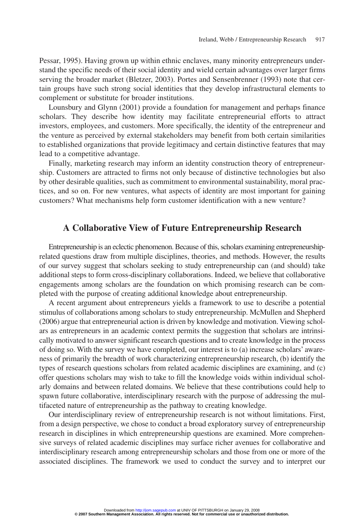Pessar, 1995). Having grown up within ethnic enclaves, many minority entrepreneurs understand the specific needs of their social identity and wield certain advantages over larger firms serving the broader market (Bletzer, 2003). Portes and Sensenbrenner (1993) note that certain groups have such strong social identities that they develop infrastructural elements to complement or substitute for broader institutions.

Lounsbury and Glynn (2001) provide a foundation for management and perhaps finance scholars. They describe how identity may facilitate entrepreneurial efforts to attract investors, employees, and customers. More specifically, the identity of the entrepreneur and the venture as perceived by external stakeholders may benefit from both certain similarities to established organizations that provide legitimacy and certain distinctive features that may lead to a competitive advantage.

Finally, marketing research may inform an identity construction theory of entrepreneurship. Customers are attracted to firms not only because of distinctive technologies but also by other desirable qualities, such as commitment to environmental sustainability, moral practices, and so on. For new ventures, what aspects of identity are most important for gaining customers? What mechanisms help form customer identification with a new venture?

#### **A Collaborative View of Future Entrepreneurship Research**

Entrepreneurship is an eclectic phenomenon. Because of this, scholars examining entrepreneurshiprelated questions draw from multiple disciplines, theories, and methods. However, the results of our survey suggest that scholars seeking to study entrepreneurship can (and should) take additional steps to form cross-disciplinary collaborations. Indeed, we believe that collaborative engagements among scholars are the foundation on which promising research can be completed with the purpose of creating additional knowledge about entrepreneurship.

A recent argument about entrepreneurs yields a framework to use to describe a potential stimulus of collaborations among scholars to study entrepreneurship. McMullen and Shepherd (2006) argue that entrepreneurial action is driven by knowledge and motivation. Viewing scholars as entrepreneurs in an academic context permits the suggestion that scholars are intrinsically motivated to answer significant research questions and to create knowledge in the process of doing so. With the survey we have completed, our interest is to (a) increase scholars' awareness of primarily the breadth of work characterizing entrepreneurship research, (b) identify the types of research questions scholars from related academic disciplines are examining, and (c) offer questions scholars may wish to take to fill the knowledge voids within individual scholarly domains and between related domains. We believe that these contributions could help to spawn future collaborative, interdisciplinary research with the purpose of addressing the multifaceted nature of entrepreneurship as the pathway to creating knowledge.

Our interdisciplinary review of entrepreneurship research is not without limitations. First, from a design perspective, we chose to conduct a broad exploratory survey of entrepreneurship research in disciplines in which entrepreneurship questions are examined. More comprehensive surveys of related academic disciplines may surface richer avenues for collaborative and interdisciplinary research among entrepreneurship scholars and those from one or more of the associated disciplines. The framework we used to conduct the survey and to interpret our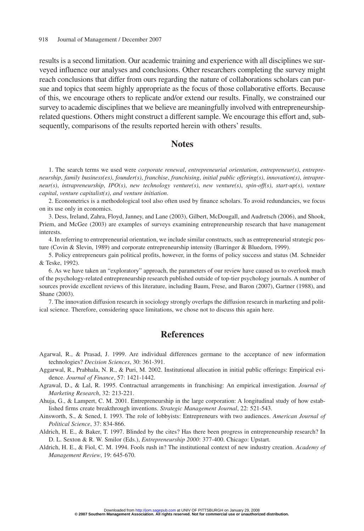results is a second limitation. Our academic training and experience with all disciplines we surveyed influence our analyses and conclusions. Other researchers completing the survey might reach conclusions that differ from ours regarding the nature of collaborations scholars can pursue and topics that seem highly appropriate as the focus of those collaborative efforts. Because of this, we encourage others to replicate and/or extend our results. Finally, we constrained our survey to academic disciplines that we believe are meaningfully involved with entrepreneurshiprelated questions. Others might construct a different sample. We encourage this effort and, subsequently, comparisons of the results reported herein with others' results.

#### **Notes**

1. The search terms we used were *corporate renewal*, *entrepreneurial orientation*, *entrepreneur(s)*, *entrepreneurship*, *family business(es)*, *founder(s)*, *franchise*, *franchising*, *initial public offering(s)*, *innovation(s)*, *intrapreneur(s)*, *intrapreneurship*, *IPO(s)*, *new technology venture(s)*, *new venture(s)*, *spin-off(s)*, *start-up(s)*, *venture capital*, *venture capitalist(s)*, *and venture initiation*.

2. Econometrics is a methodological tool also often used by finance scholars. To avoid redundancies, we focus on its use only in economics.

3. Dess, Ireland, Zahra, Floyd, Janney, and Lane (2003), Gilbert, McDougall, and Audretsch (2006), and Shook, Priem, and McGee (2003) are examples of surveys examining entrepreneurship research that have management interests.

4. In referring to entrepreneurial orientation, we include similar constructs, such as entrepreneurial strategic posture (Covin & Slevin, 1989) and corporate entrepreneurship intensity (Barringer & Bluedorn, 1999).

5. Policy entrepreneurs gain political profits, however, in the forms of policy success and status (M. Schneider & Teske, 1992).

6. As we have taken an "exploratory" approach, the parameters of our review have caused us to overlook much of the psychology-related entrepreneurship research published outside of top-tier psychology journals. A number of sources provide excellent reviews of this literature, including Baum, Frese, and Baron (2007), Gartner (1988), and Shane (2003).

7. The innovation diffusion research in sociology strongly overlaps the diffusion research in marketing and political science. Therefore, considering space limitations, we chose not to discuss this again here.

#### **References**

- Agarwal, R., & Prasad, J. 1999. Are individual differences germane to the acceptance of new information technologies? *Decision Sciences*, 30: 361-391.
- Aggarwal, R., Prabhala, N. R., & Puri, M. 2002. Institutional allocation in initial public offerings: Empirical evidence. *Journal of Finance*, 57: 1421-1442.
- Agrawal, D., & Lal, R. 1995. Contractual arrangements in franchising: An empirical investigation. *Journal of Marketing Research*, 32: 213-221.

Ahuja, G., & Lampert, C. M. 2001. Entrepreneurship in the large corporation: A longitudinal study of how established firms create breakthrough inventions. *Strategic Management Journal*, 22: 521-543.

Ainsworth, S., & Sened, I. 1993. The role of lobbyists: Entrepreneurs with two audiences. *American Journal of Political Science*, 37: 834-866.

- Aldrich, H. E., & Baker, T. 1997. Blinded by the cites? Has there been progress in entrepreneurship research? In D. L. Sexton & R. W. Smilor (Eds.), *Entrepreneurship 2000*: 377-400. Chicago: Upstart.
- Aldrich, H. E., & Fiol, C. M. 1994. Fools rush in? The institutional context of new industry creation. *Academy of Management Review*, 19: 645-670.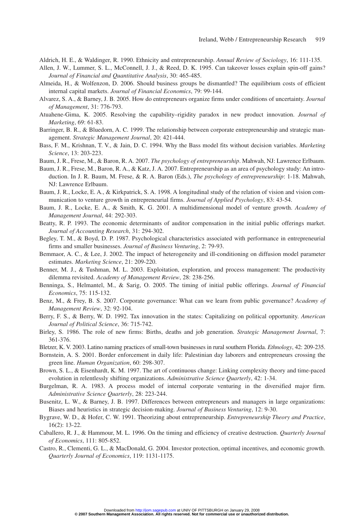- Aldrich, H. E., & Waldinger, R. 1990. Ethnicity and entrepreneurship. *Annual Review of Sociology*, 16: 111-135.
- Allen, J. W., Lummer, S. L., McConnell, J. J., & Reed, D. K. 1995. Can takeover losses explain spin-off gains? *Journal of Financial and Quantitative Analysis*, 30: 465-485.
- Almeida, H., & Wolfenzon, D. 2006. Should business groups be dismantled? The equilibrium costs of efficient internal capital markets. *Journal of Financial Economics*, 79: 99-144.
- Alvarez, S. A., & Barney, J. B. 2005. How do entrepreneurs organize firms under conditions of uncertainty. *Journal of Management*, 31: 776-793.
- Atuahene-Gima, K. 2005. Resolving the capability–rigidity paradox in new product innovation. *Journal of Marketing*, 69: 61-83.
- Barringer, B. R., & Bluedorn, A. C. 1999. The relationship between corporate entrepreneurship and strategic management. *Strategic Management Journal*, 20: 421-444.
- Bass, F. M., Krishnan, T. V., & Jain, D. C. 1994. Why the Bass model fits without decision variables. *Marketing Science*, 13: 203-223.
- Baum, J. R., Frese, M., & Baron, R. A. 2007. *The psychology of entrepreneurship*. Mahwah, NJ: Lawrence Erlbaum.
- Baum, J. R., Frese, M., Baron, R. A., & Katz, J. A. 2007. Entrepreneurship as an area of psychology study: An introduction. In J. R. Baum, M. Frese, & R. A. Baron (Eds.), *The psychology of entrepreneurship*: 1-18. Mahwah, NJ: Lawrence Erlbaum.
- Baum, J. R., Locke, E. A., & Kirkpatrick, S. A. 1998. A longitudinal study of the relation of vision and vision communication to venture growth in entrepreneurial firms. *Journal of Applied Psychology*, 83: 43-54.
- Baum, J. R., Locke, E. A., & Smith, K. G. 2001. A multidimensional model of venture growth. *Academy of Management Journal*, 44: 292-303.
- Beatty, R. P. 1993. The economic determinants of auditor compensation in the initial public offerings market. *Journal of Accounting Research*, 31: 294-302.
- Begley, T. M., & Boyd, D. P. 1987. Psychological characteristics associated with performance in entrepreneurial firms and smaller businesses. *Journal of Business Venturing*, 2: 79-93.
- Bemmaor, A. C., & Lee, J. 2002. The impact of heterogeneity and ill-conditioning on diffusion model parameter estimates. *Marketing Science*, 21: 209-220.
- Benner, M. J., & Tushman, M. L. 2003. Exploitation, exploration, and process management: The productivity dilemma revisited. *Academy of Management Review*, 28: 238-256.
- Benninga, S., Helmantel, M., & Sarig, O. 2005. The timing of initial public offerings. *Journal of Financial Economics*, 75: 115-132.
- Benz, M., & Frey, B. S. 2007. Corporate governance: What can we learn from public governance? *Academy of Management Review*, 32: 92-104.
- Berry, F. S., & Berry, W. D. 1992. Tax innovation in the states: Capitalizing on political opportunity. *American Journal of Political Science*, 36: 715-742.
- Birley, S. 1986. The role of new firms: Births, deaths and job generation. *Strategic Management Journal*, 7: 361-376.
- Bletzer, K. V. 2003. Latino naming practices of small-town businesses in rural southern Florida. *Ethnology*, 42: 209-235.
- Bornstein, A. S. 2001. Border enforcement in daily life: Palestinian day laborers and entrepreneurs crossing the green line. *Human Organization*, 60: 298-307.
- Brown, S. L., & Eisenhardt, K. M. 1997. The art of continuous change: Linking complexity theory and time-paced evolution in relentlessly shifting organizations. *Administrative Science Quarterly*, 42: 1-34.
- Burgelman, R. A. 1983. A process model of internal corporate venturing in the diversified major firm. *Administrative Science Quarterly*, 28: 223-244.
- Busenitz, L. W., & Barney, J. B. 1997. Differences between entrepreneurs and managers in large organizations: Biases and heuristics in strategic decision-making. *Journal of Business Venturing*, 12: 9-30.
- Bygrave, W. D., & Hofer, C. W. 1991. Theorizing about entrepreneurship. *Entrepreneurship Theory and Practice*, 16(2): 13-22.
- Caballero, R. J., & Hammour, M. L. 1996. On the timing and efficiency of creative destruction. *Quarterly Journal of Economics*, 111: 805-852.
- Castro, R., Clementi, G. L., & MacDonald, G. 2004. Investor protection, optimal incentives, and economic growth. *Quarterly Journal of Economics*, 119: 1131-1175.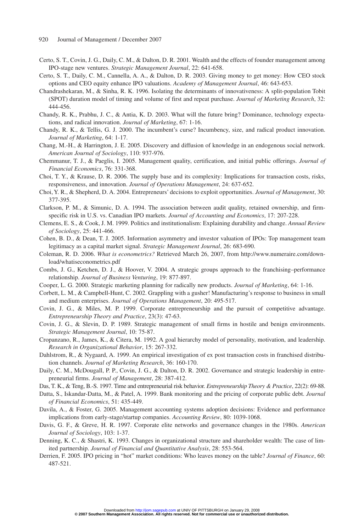- Certo, S. T., Covin, J. G., Daily, C. M., & Dalton, D. R. 2001. Wealth and the effects of founder management among IPO-stage new ventures. *Strategic Management Journal*, 22: 641-658.
- Certo, S. T., Daily, C. M., Cannella, A. A., & Dalton, D. R. 2003. Giving money to get money: How CEO stock options and CEO equity enhance IPO valuations. *Academy of Management Journal*, 46: 643-653.
- Chandrashekaran, M., & Sinha, R. K. 1996. Isolating the determinants of innovativeness: A split-population Tobit (SPOT) duration model of timing and volume of first and repeat purchase. *Journal of Marketing Research*, 32: 444-456.
- Chandy, R. K., Prabhu, J. C., & Antia, K. D. 2003. What will the future bring? Dominance, technology expectations, and radical innovation. *Journal of Marketing*, 67: 1-16.
- Chandy, R. K., & Tellis, G. J. 2000. The incumbent's curse? Incumbency, size, and radical product innovation. *Journal of Marketing*, 64: 1-17.
- Chang, M.-H., & Harrington, J. E. 2005. Discovery and diffusion of knowledge in an endogenous social network. *American Journal of Sociology*, 110: 937-976.
- Chemmanur, T. J., & Paeglis, I. 2005. Management quality, certification, and initial public offerings. *Journal of Financial Economics*, 76: 331-368.
- Choi, T. Y., & Krause, D. R. 2006. The supply base and its complexity: Implications for transaction costs, risks, responsiveness, and innovation. *Journal of Operations Management*, 24: 637-652.
- Choi, Y. R., & Shepherd, D. A. 2004. Entrepreneurs' decisions to exploit opportunities. *Journal of Management*, 30: 377-395.
- Clarkson, P. M., & Simunic, D. A. 1994. The association between audit quality, retained ownership, and firmspecific risk in U.S. vs. Canadian IPO markets. *Journal of Accounting and Economics*, 17: 207-228.
- Clemens, E. S., & Cook, J. M. 1999. Politics and institutionalism: Explaining durability and change. *Annual Review of Sociology*, 25: 441-466.
- Cohen, B. D., & Dean, T. J. 2005. Information asymmetry and investor valuation of IPOs: Top management team legitimacy as a capital market signal. *Strategic Management Journal*, 26: 683-690.
- Coleman, R. D. 2006. *What is econometrics?* Retrieved March 26, 2007, from http://www.numeraire.com/download/whatiseconometrics.pdf
- Combs, J. G., Ketchen, D. J., & Hoover, V. 2004. A strategic groups approach to the franchising–performance relationship. *Journal of Business Venturing*, 19: 877-897.
- Cooper, L. G. 2000. Strategic marketing planning for radically new products. *Journal of Marketing*, 64: 1-16.
- Corbett, L. M., & Campbell-Hunt, C. 2002. Grappling with a gusher! Manufacturing's response to business in small and medium enterprises. *Journal of Operations Management*, 20: 495-517.
- Covin, J. G., & Miles, M. P. 1999. Corporate entrepreneurship and the pursuit of competitive advantage. *Entrepreneurship Theory and Practice*, 23(3): 47-63.
- Covin, J. G., & Slevin, D. P. 1989. Strategic management of small firms in hostile and benign environments. *Strategic Management Journal*, 10: 75-87.
- Cropanzano, R., James, K., & Citera, M. 1992. A goal hierarchy model of personality, motivation, and leadership. *Research in Organizational Behavior*, 15: 267-332.
- Dahlstrom, R., & Nygaard, A. 1999. An empirical investigation of ex post transaction costs in franchised distribution channels. *Journal of Marketing Research*, 36: 160-170.
- Daily, C. M., McDougall, P. P., Covin, J. G., & Dalton, D. R. 2002. Governance and strategic leadership in entrepreneurial firms. *Journal of Management*, 28: 387-412.
- Das, T. K., & Teng, B.-S. 1997. Time and entrepreneurial risk behavior. *Entrepreneurship Theory & Practice*, 22(2): 69-88.
- Datta, S., Iskandar-Datta, M., & Patel, A. 1999. Bank monitoring and the pricing of corporate public debt. *Journal of Financial Economics*, 51: 435-449.
- Davila, A., & Foster, G. 2005. Management accounting systems adoption decisions: Evidence and performance implications from early-stage/startup companies. *Accounting Review*, 80: 1039-1068.
- Davis, G. F., & Greve, H. R. 1997. Corporate elite networks and governance changes in the 1980s. *American Journal of Sociology*, 103: 1-37.
- Denning, K. C., & Shastri, K. 1993. Changes in organizational structure and shareholder wealth: The case of limited partnership. *Journal of Financial and Quantitative Analysis*, 28: 553-564.
- Derrien, F. 2005. IPO pricing in "hot" market conditions: Who leaves money on the table? *Journal of Finance*, 60: 487-521.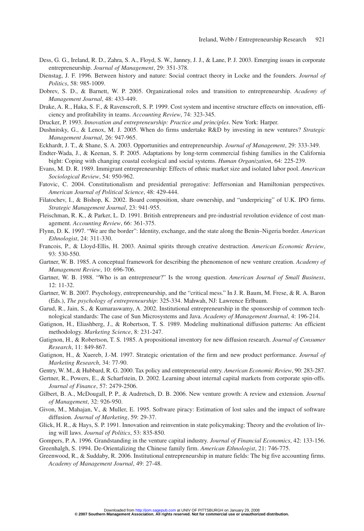- Dess, G. G., Ireland, R. D., Zahra, S. A., Floyd, S. W., Janney, J. J., & Lane, P. J. 2003. Emerging issues in corporate entrepreneurship. *Journal of Management*, 29: 351-378.
- Dienstag, J. F. 1996. Between history and nature: Social contract theory in Locke and the founders. *Journal of Politics*, 58: 985-1009.
- Dobrev, S. D., & Barnett, W. P. 2005. Organizational roles and transition to entrepreneurship. *Academy of Management Journal*, 48: 433-449.
- Drake, A. R., Haka, S. F., & Ravenscroft, S. P. 1999. Cost system and incentive structure effects on innovation, efficiency and profitability in teams. *Accounting Review*, 74: 323-345.
- Drucker, P. 1993. *Innovation and entrepreneurship: Practice and principles*. New York: Harper.
- Dushnitsky, G., & Lenox, M. J. 2005. When do firms undertake R&D by investing in new ventures? *Strategic Management Journal*, 26: 947-965.
- Eckhardt, J. T., & Shane, S. A. 2003. Opportunities and entrepreneurship. *Journal of Management*, 29: 333-349.
- Endter-Wada, J., & Keenan, S. P. 2005. Adaptations by long-term commercial fishing families in the California bight: Coping with changing coastal ecological and social systems. *Human Organization*, 64: 225-239.
- Evans, M. D. R. 1989. Immigrant entrepreneurship: Effects of ethnic market size and isolated labor pool. *American Sociological Review*, 54: 950-962.
- Fatovic, C. 2004. Constitutionalism and presidential prerogative: Jeffersonian and Hamiltonian perspectives. *American Journal of Political Science*, 48: 429-444.
- Filatochev, I., & Bishop, K. 2002. Board composition, share ownership, and "underpricing" of U.K. IPO firms. *Strategic Management Journal*, 23: 941-955.
- Fleischman, R. K., & Parker, L. D. 1991. British entrepreneurs and pre-industrial revolution evidence of cost management. *Accounting Review*, 66: 361-375.
- Flynn, D. K. 1997. "We are the border": Identity, exchange, and the state along the Benin–Nigeria border. *American Ethnologist*, 24: 311-330.
- Francois, P., & Lloyd-Ellis, H. 2003. Animal spirits through creative destruction. *American Economic Review*, 93: 530-550.
- Gartner, W. B. 1985. A conceptual framework for describing the phenomenon of new venture creation. *Academy of Management Review*, 10: 696-706.
- Gartner, W. B. 1988. "Who is an entrepreneur?" Is the wrong question. *American Journal of Small Business*, 12: 11-32.
- Gartner, W. B. 2007. Psychology, entrepreneurship, and the "critical mess." In J. R. Baum, M. Frese, & R. A. Baron (Eds.), *The psychology of entrepreneurship*: 325-334. Mahwah, NJ: Lawrence Erlbaum.
- Garud, R., Jain, S., & Kumaraswamy, A. 2002. Institutional entrepreneurship in the sponsorship of common technological standards: The case of Sun Microsystems and Java. *Academy of Management Journal*, 4: 196-214.
- Gatignon, H., Eliashberg, J., & Robertson, T. S. 1989. Modeling multinational diffusion patterns: An efficient methodology. *Marketing Science*, 8: 231-247.
- Gatignon, H., & Robertson, T. S. 1985. A propositional inventory for new diffusion research. *Journal of Consumer Research*, 11: 849-867.
- Gatignon, H., & Xuereb, J.-M. 1997. Strategic orientation of the firm and new product performance. *Journal of Marketing Research*, 34: 77-90.
- Gentry, W. M., & Hubbard, R. G. 2000. Tax policy and entrepreneurial entry. *American Economic Review*, 90: 283-287.
- Gertner, R., Powers, E., & Scharfstein, D. 2002. Learning about internal capital markets from corporate spin-offs. *Journal of Finance*, 57: 2479-2506.
- Gilbert, B. A., McDougall, P. P., & Audretsch, D. B. 2006. New venture growth: A review and extension. *Journal of Management*, 32: 926-950.
- Givon, M., Mahajan, V., & Muller, E. 1995. Software piracy: Estimation of lost sales and the impact of software diffusion. *Journal of Marketing*, 59: 29-37.
- Glick, H. R., & Hays, S. P. 1991. Innovation and reinvention in state policymaking: Theory and the evolution of living will laws. *Journal of Politics*, 53: 835-850.
- Gompers, P. A. 1996. Grandstanding in the venture capital industry. *Journal of Financial Economics*, 42: 133-156. Greenhalgh, S. 1994. De-Orientalizing the Chinese family firm. *American Ethnologist*, 21: 746-775.
- Greenwood, R., & Suddaby, R. 2006. Institutional entrepreneurship in mature fields: The big five accounting firms. *Academy of Management Journal*, 49: 27-48.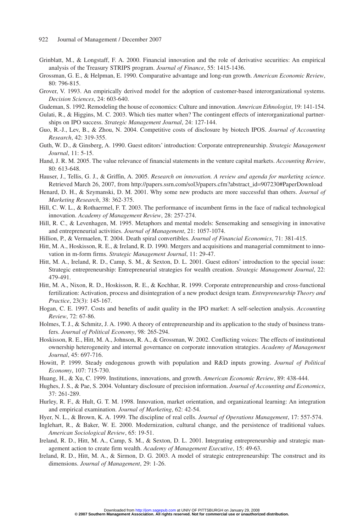- Grinblatt, M., & Longstaff, F. A. 2000. Financial innovation and the role of derivative securities: An empirical analysis of the Treasury STRIPS program. *Journal of Finance*, 55: 1415-1436.
- Grossman, G. E., & Helpman, E. 1990. Comparative advantage and long-run growth. *American Economic Review*, 80: 796-815.
- Grover, V. 1993. An empirically derived model for the adoption of customer-based interorganizational systems. *Decision Sciences*, 24: 603-640.
- Gudeman, S. 1992. Remodeling the house of economics: Culture and innovation. *American Ethnologist*, 19: 141-154.
- Gulati, R., & Higgins, M. C. 2003. Which ties matter when? The contingent effects of interorganizational partnerships on IPO success. *Strategic Management Journal*, 24: 127-144.
- Guo, R.-J., Lev, B., & Zhou, N. 2004. Competitive costs of disclosure by biotech IPOS. *Journal of Accounting Research*, 42: 319-355.
- Guth, W. D., & Ginsberg, A. 1990. Guest editors' introduction: Corporate entrepreneurship. *Strategic Management Journal*, 11: 5-15.
- Hand, J. R. M. 2005. The value relevance of financial statements in the venture capital markets. *Accounting Review*, 80: 613-648.
- Hauser, J., Tellis, G. J., & Griffin, A. 2005. *Research on innovation. A review and agenda for marketing science*. Retrieved March 26, 2007, from http://papers.ssrn.com/sol3/papers.cfm?abstract\_id=907230#PaperDownload
- Henard, D. H., & Szymanski, D. M. 2001. Why some new products are more successful than others. *Journal of Marketing Research*, 38: 362-375.
- Hill, C. W. L., & Rothaermel, F. T. 2003. The performance of incumbent firms in the face of radical technological innovation. *Academy of Management Review*, 28: 257-274.
- Hill, R. C., & Levenhagen, M. 1995. Metaphors and mental models: Sensemaking and sensegiving in innovative and entrepreneurial activities. *Journal of Management*, 21: 1057-1074.
- Hillion, P., & Vermaelen, T. 2004. Death spiral convertibles. *Journal of Financial Economics*, 71: 381-415.
- Hitt, M. A., Hoskisson, R. E., & Ireland, R. D. 1990. Mergers and acquisitions and managerial commitment to innovation in m-form firms. *Strategic Management Journal*, 11: 29-47.
- Hitt, M. A., Ireland, R. D., Camp, S. M., & Sexton, D. L. 2001. Guest editors' introduction to the special issue: Strategic entrepreneurship: Entrepreneurial strategies for wealth creation. *Strategic Management Journal*, 22: 479-491.
- Hitt, M. A., Nixon, R. D., Hoskisson, R. E., & Kochhar, R. 1999. Corporate entrepreneurship and cross-functional fertilization: Activation, process and disintegration of a new product design team. *Entrepreneurship Theory and Practice*, 23(3): 145-167.
- Hogan, C. E. 1997. Costs and benefits of audit quality in the IPO market: A self-selection analysis. *Accounting Review*, 72: 67-86.
- Holmes, T. J., & Schmitz, J. A. 1990. A theory of entrepreneurship and its application to the study of business transfers. *Journal of Political Economy*, 98: 265-294.
- Hoskisson, R. E., Hitt, M. A., Johnson, R. A., & Grossman, W. 2002. Conflicting voices: The effects of institutional ownership heterogeneity and internal governance on corporate innovation strategies. *Academy of Management Journal*, 45: 697-716.
- Howitt, P. 1999. Steady endogenous growth with population and R&D inputs growing. *Journal of Political Economy*, 107: 715-730.
- Huang, H., & Xu, C. 1999. Institutions, innovations, and growth. *American Economic Review*, 89: 438-444.
- Hughes, J. S., & Pae, S. 2004. Voluntary disclosure of precision information. *Journal of Accounting and Economics*, 37: 261-289.
- Hurley, R. F., & Hult, G. T. M. 1998. Innovation, market orientation, and organizational learning: An integration and empirical examination. *Journal of Marketing*, 62: 42-54.
- Hyer, N. L., & Brown, K. A. 1999. The discipline of real cells. *Journal of Operations Management*, 17: 557-574.
- Inglehart, R., & Baker, W. E. 2000. Modernization, cultural change, and the persistence of traditional values. *American Sociological Review*, 65: 19-51.
- Ireland, R. D., Hitt, M. A., Camp, S. M., & Sexton, D. L. 2001. Integrating entrepreneurship and strategic management action to create firm wealth. *Academy of Management Executive*, 15: 49-63.
- Ireland, R. D., Hitt, M. A., & Sirmon, D. G. 2003. A model of strategic entrepreneurship: The construct and its dimensions. *Journal of Management*, 29: 1-26.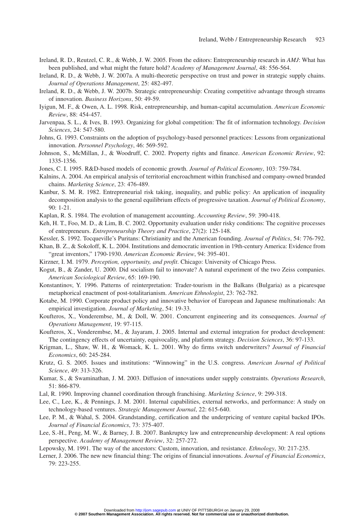- Ireland, R. D., Reutzel, C. R., & Webb, J. W. 2005. From the editors: Entrepreneurship research in *AMJ*: What has been published, and what might the future hold? *Academy of Management Journal*, 48: 556-564.
- Ireland, R. D., & Webb, J. W. 2007a. A multi-theoretic perspective on trust and power in strategic supply chains. *Journal of Operations Management*, 25: 482-497.
- Ireland, R. D., & Webb, J. W. 2007b. Strategic entrepreneurship: Creating competitive advantage through streams of innovation. *Business Horizons*, 50: 49-59.
- Iyigun, M. F., & Owen, A. L. 1998. Risk, entrepreneurship, and human-capital accumulation. *American Economic Review*, 88: 454-457.
- Jarvenpaa, S. L., & Ives, B. 1993. Organizing for global competition: The fit of information technology. *Decision Sciences*, 24: 547-580.
- Johns, G. 1993. Constraints on the adoption of psychology-based personnel practices: Lessons from organizational innovation. *Personnel Psychology*, 46: 569-592.
- Johnson, S., McMillan, J., & Woodruff, C. 2002. Property rights and finance. *American Economic Review*, 92: 1335-1356.
- Jones, C. I. 1995. R&D-based models of economic growth. *Journal of Political Economy*, 103: 759-784.
- Kalnins, A. 2004. An empirical analysis of territorial encroachment within franchised and company-owned branded chains. *Marketing Science*, 23: 476-489.
- Kanbur, S. M. R. 1982. Entrepreneurial risk taking, inequality, and public policy: An application of inequality decomposition analysis to the general equilibrium effects of progressive taxation. *Journal of Political Economy*, 90: 1-21.
- Kaplan, R. S. 1984. The evolution of management accounting. *Accounting Review*, 59: 390-418.
- Keh, H. T., Foo, M. D., & Lim, B. C. 2002. Opportunity evaluation under risky conditions: The cognitive processes of entrepreneurs. *Entrepreneurship Theory and Practice*, 27(2): 125-148.
- Kessler, S. 1992. Tocqueville's Puritans: Christianity and the American founding. *Journal of Politics*, 54: 776-792.
- Khan, B. Z., & Sokoloff, K. L. 2004. Institutions and democratic invention in 19th-century America: Evidence from "great inventors," 1790-1930. *American Economic Review*, 94: 395-401.
- Kirzner, I. M. 1979. *Perception, opportunity, and profit*. Chicago: University of Chicago Press.
- Kogut, B., & Zander, U. 2000. Did socialism fail to innovate? A natural experiment of the two Zeiss companies. *American Sociological Review*, 65: 169-190.
- Konstantinov, Y. 1996. Patterns of reinterpretation: Trader-tourism in the Balkans (Bulgaria) as a picaresque metaphorical enactment of post-totalitarianism. *American Ethnologist*, 23: 762-782.
- Kotabe, M. 1990. Corporate product policy and innovative behavior of European and Japanese multinationals: An empirical investigation. *Journal of Marketing*, 54: 19-33.
- Koufteros, X., Vonderembse, M., & Doll, W. 2001. Concurrent engineering and its consequences. *Journal of Operations Management*, 19: 97-115.
- Koufteros, X., Vonderembse, M., & Jayaram, J. 2005. Internal and external integration for product development: The contingency effects of uncertainty, equivocality, and platform strategy. *Decision Sciences*, 36: 97-133.
- Krigman, L., Shaw, W. H., & Womack, K. L. 2001. Why do firms switch underwriters? *Journal of Financial Economics*, 60: 245-284.
- Krutz, G. S. 2005. Issues and institutions: "Winnowing" in the U.S. congress. *American Journal of Political Science*, 49: 313-326.
- Kumar, S., & Swaminathan, J. M. 2003. Diffusion of innovations under supply constraints. *Operations Research*, 51: 866-879.
- Lal, R. 1990. Improving channel coordination through franchising. *Marketing Science*, 9: 299-318.
- Lee, C., Lee, K., & Pennings, J. M. 2001. Internal capabilities, external networks, and performance: A study on technology-based ventures. *Strategic Management Journal*, 22: 615-640.
- Lee, P. M., & Wahal, S. 2004. Grandstanding, certification and the underpricing of venture capital backed IPOs. *Journal of Financial Economics*, 73: 375-407.
- Lee, S.-H., Peng, M. W., & Barney, J. B. 2007. Bankruptcy law and entrepreneurship development: A real options perspective. *Academy of Management Review*, 32: 257-272.
- Lepowsky, M. 1991. The way of the ancestors: Custom, innovation, and resistance. *Ethnology*, 30: 217-235.
- Lerner, J. 2006. The new new financial thing: The origins of financial innovations. *Journal of Financial Economics*, 79: 223-255.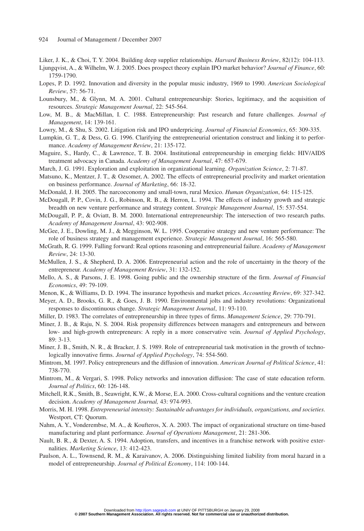Liker, J. K., & Choi, T. Y. 2004. Building deep supplier relationships. *Harvard Business Review*, 82(12): 104-113.

Ljungqvist, A., & Wilhelm, W. J. 2005. Does prospect theory explain IPO market behavior? *Journal of Finance*, 60: 1759-1790.

- Lopes, P. D. 1992. Innovation and diversity in the popular music industry, 1969 to 1990. *American Sociological Review*, 57: 56-71.
- Lounsbury, M., & Glynn, M. A. 2001. Cultural entrepreneurship: Stories, legitimacy, and the acquisition of resources. *Strategic Management Journal*, 22: 545-564.
- Low, M. B., & MacMillan, I. C. 1988. Entrepreneurship: Past research and future challenges. *Journal of Management*, 14: 139-161.
- Lowry, M., & Shu, S. 2002. Litigation risk and IPO underpricing. *Journal of Financial Economics*, 65: 309-335.
- Lumpkin, G. T., & Dess, G. G. 1996. Clarifying the entrepreneurial orientation construct and linking it to performance. *Academy of Management Review*, 21: 135-172.
- Maguire, S., Hardy, C., & Lawrence, T. B. 2004. Institutional entrepreneurship in emerging fields: HIV/AIDS treatment advocacy in Canada. *Academy of Management Journal*, 47: 657-679.
- March, J. G. 1991. Exploration and exploitation in organizational learning. *Organization Science*, 2: 71-87.
- Matsuno, K., Mentzer, J. T., & Ozsomer, A. 2002. The effects of entrepreneurial proclivity and market orientation on business performance. *Journal of Marketing*, 66: 18-32.
- McDonald, J. H. 2005. The narcoeconomy and small-town, rural Mexico. *Human Organization*, 64: 115-125.
- McDougall, P. P., Covin, J. G., Robinson, R. B., & Herron, L. 1994. The effects of industry growth and strategic breadth on new venture performance and strategy content. *Strategic Management Journal*, 15: 537-554.
- McDougall, P. P., & Oviatt, B. M. 2000. International entrepreneurship: The intersection of two research paths. *Academy of Management Journal*, 43: 902-908.
- McGee, J. E., Dowling, M. J., & Megginson, W. L. 1995. Cooperative strategy and new venture performance: The role of business strategy and management experience. *Strategic Management Journal*, 16: 565-580.
- McGrath, R. G. 1999. Falling forward: Real options reasoning and entrepreneurial failure. *Academy of Management Review*, 24: 13-30.
- McMullen, J. S., & Shepherd, D. A. 2006. Entrepreneurial action and the role of uncertainty in the theory of the entrepreneur. *Academy of Management Review*, 31: 132-152.
- Mello, A. S., & Parsons, J. E. 1998. Going public and the ownership structure of the firm. *Journal of Financial Economics*, 49: 79-109.
- Menon, K., & Williams, D. D. 1994. The insurance hypothesis and market prices. *Accounting Review*, 69: 327-342.
- Meyer, A. D., Brooks, G. R., & Goes, J. B. 1990. Environmental jolts and industry revolutions: Organizational responses to discontinuous change. *Strategic Management Journal*, 11: 93-110.
- Miller, D. 1983. The correlates of entrepreneurship in three types of firms. *Management Science*, 29: 770-791.
- Miner, J. B., & Raju, N. S. 2004. Risk propensity differences between managers and entrepreneurs and between low- and high-growth entrepreneurs: A reply in a more conservative vein. *Journal of Applied Psychology*, 89: 3-13.
- Miner, J. B., Smith, N. R., & Bracker, J. S. 1989. Role of entrepreneurial task motivation in the growth of technologically innovative firms. *Journal of Applied Psychology*, 74: 554-560.
- Mintrom, M. 1997. Policy entrepreneurs and the diffusion of innovation. *American Journal of Political Science*, 41: 738-770.
- Mintrom, M., & Vergari, S. 1998. Policy networks and innovation diffusion: The case of state education reform. *Journal of Politics*, 60: 126-148.
- Mitchell, R.K., Smith, B., Seawright, K.W., & Morse, E.A. 2000. Cross-cultural cognitions and the venture creation decision. *Academy of Management Journal,* 43: 974-993.
- Morris, M. H. 1998. *Entrepreneurial intensity: Sustainable advantages for individuals, organizations, and societies.* Westport, CT: Quorum.
- Nahm, A. Y., Vonderembse, M. A., & Koufteros, X. A. 2003. The impact of organizational structure on time-based manufacturing and plant performance. *Journal of Operations Management*, 21: 281-306.
- Nault, B. R., & Dexter, A. S. 1994. Adoption, transfers, and incentives in a franchise network with positive externalities. *Marketing Science*, 13: 412-423.
- Paulson, A. L., Townsend, R. M., & Karaivanov, A. 2006. Distinguishing limited liability from moral hazard in a model of entrepreneurship. *Journal of Political Economy*, 114: 100-144.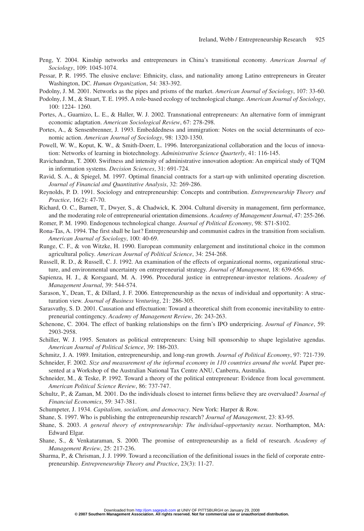- Peng, Y. 2004. Kinship networks and entrepreneurs in China's transitional economy. *American Journal of Sociology*, 109: 1045-1074.
- Pessar, P. R. 1995. The elusive enclave: Ethnicity, class, and nationality among Latino entrepreneurs in Greater Washington, DC. *Human Organization*, 54: 383-392.
- Podolny, J. M. 2001. Networks as the pipes and prisms of the market. *American Journal of Sociology*, 107: 33-60.
- Podolny, J. M., & Stuart, T. E. 1995. A role-based ecology of technological change. *American Journal of Sociology*, 100: 1224- 1260.
- Portes, A., Guarnizo, L. E., & Haller, W. J. 2002. Transnational entrepreneurs: An alternative form of immigrant economic adaptation. *American Sociological Review*, 67: 278-298.
- Portes, A., & Sensenbrenner, J. 1993. Embeddedness and immigration: Notes on the social determinants of economic action. *American Journal of Sociology*, 98: 1320-1350.
- Powell, W. W., Koput, K. W., & Smith-Doerr, L. 1996. Interorganizational collaboration and the locus of innovation: Networks of learning in biotechnology. *Administrative Science Quarterly*, 41: 116-145.
- Ravichandran, T. 2000. Swiftness and intensity of administrative innovation adoption: An empirical study of TQM in information systems. *Decision Sciences*, 31: 691-724.
- Ravid, S. A., & Spiegel, M. 1997. Optimal financial contracts for a start-up with unlimited operating discretion. *Journal of Financial and Quantitative Analysis*, 32: 269-286.
- Reynolds, P. D. 1991. Sociology and entrepreneurship: Concepts and contribution. *Entrepreneurship Theory and Practice*, 16(2): 47-70.
- Richard, O. C., Barnett, T., Dwyer, S., & Chadwick, K. 2004. Cultural diversity in management, firm performance, and the moderating role of entrepreneurial orientation dimensions. *Academy of Management Journal*, 47: 255-266.
- Romer, P. M. 1990. Endogenous technological change. *Journal of Political Economy*, 98: S71-S102.
- Rona-Tas, A. 1994. The first shall be last? Entrepreneurship and communist cadres in the transition from socialism. *American Journal of Sociology*, 100: 40-69.
- Runge, C. F., & von Witzke, H. 1990. European community enlargement and institutional choice in the common agricultural policy. *American Journal of Political Science*, 34: 254-268.
- Russell, R. D., & Russell, C. J. 1992. An examination of the effects of organizational norms, organizational structure, and environmental uncertainty on entrepreneurial strategy. *Journal of Management*, 18: 639-656.
- Sapienza, H. J., & Korsgaard, M. A. 1996. Procedural justice in entrepreneur-investor relations. *Academy of Management Journal*, 39: 544-574.
- Sarason, Y., Dean, T., & Dillard, J. F. 2006. Entrepreneurship as the nexus of individual and opportunity: A structuration view. *Journal of Business Venturing*, 21: 286-305.
- Sarasvathy, S. D. 2001. Causation and effectuation: Toward a theoretical shift from economic inevitability to entrepreneurial contingency. *Academy of Management Review*, 26: 243-263.
- Schenone, C. 2004. The effect of banking relationships on the firm's IPO underpricing. *Journal of Finance*, 59: 2903-2958.
- Schiller, W. J. 1995. Senators as political entrepreneurs: Using bill sponsorship to shape legislative agendas. *American Journal of Political Science*, 39: 186-203.
- Schmitz, J. A. 1989. Imitation, entrepreneurship, and long-run growth. *Journal of Political Economy*, 97: 721-739.
- Schneider, F. 2002. *Size and measurement of the informal economy in 110 countries around the world*. Paper presented at a Workshop of the Australian National Tax Centre ANU, Canberra, Australia.
- Schneider, M., & Teske, P. 1992. Toward a theory of the political entrepreneur: Evidence from local government. *American Political Science Review*, 86: 737-747.
- Schultz, P., & Zaman, M. 2001. Do the individuals closest to internet firms believe they are overvalued? *Journal of Financial Economics*, 59: 347-381.
- Schumpeter, J. 1934. *Capitalism, socialism, and democracy*. New York: Harper & Row.
- Shane, S. 1997. Who is publishing the entrepreneurship research? *Journal of Management*, 23: 83-95.
- Shane, S. 2003. *A general theory of entrepreneurship: The individual-opportunity nexus*. Northampton, MA: Edward Elgar.
- Shane, S., & Venkataraman, S. 2000. The promise of entrepreneurship as a field of research. *Academy of Management Review*, 25: 217-236.
- Sharma, P., & Chrisman, J. J. 1999. Toward a reconciliation of the definitional issues in the field of corporate entrepreneurship. *Entrepreneurship Theory and Practice*, 23(3): 11-27.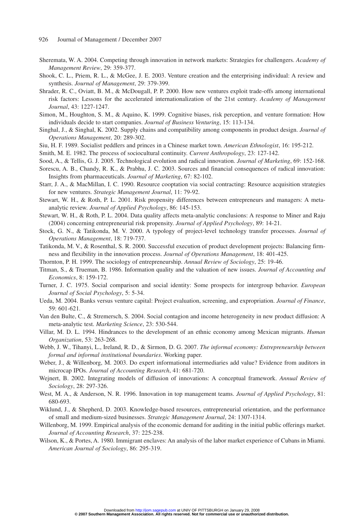- Sheremata, W. A. 2004. Competing through innovation in network markets: Strategies for challengers. *Academy of Management Review*, 29: 359-377.
- Shook, C. L., Priem, R. L., & McGee, J. E. 2003. Venture creation and the enterprising individual: A review and synthesis. *Journal of Management*, 29: 379-399.
- Shrader, R. C., Oviatt, B. M., & McDougall, P. P. 2000. How new ventures exploit trade-offs among international risk factors: Lessons for the accelerated internationalization of the 21st century. *Academy of Management Journal*, 43: 1227-1247.
- Simon, M., Houghton, S. M., & Aquino, K. 1999. Cognitive biases, risk perception, and venture formation: How individuals decide to start companies. *Journal of Business Venturing*, 15: 113-134.
- Singhal, J., & Singhal, K. 2002. Supply chains and compatibility among components in product design. *Journal of Operations Management*, 20: 289-302.
- Siu, H. F. 1989. Socialist peddlers and princes in a Chinese market town. *American Ethnologist*, 16: 195-212.
- Smith, M. E. 1982. The process of sociocultural continuity. *Current Anthropology*, 23: 127-142.
- Sood, A., & Tellis, G. J. 2005. Technological evolution and radical innovation. *Journal of Marketing*, 69: 152-168.
- Sorescu, A. B., Chandy, R. K., & Prabhu, J. C. 2003. Sources and financial consequences of radical innovation: Insights from pharmaceuticals. *Journal of Marketing*, 67: 82-102.
- Starr, J. A., & MacMillan, I. C. 1990. Resource cooptation via social contracting: Resource acquisition strategies for new ventures. *Strategic Management Journal*, 11: 79-92.
- Stewart, W. H., & Roth, P. L. 2001. Risk propensity differences between entrepreneurs and managers: A metaanalytic review. *Journal of Applied Psychology*, 86: 145-153.
- Stewart, W. H., & Roth, P. L. 2004. Data quality affects meta-analytic conclusions: A response to Miner and Raju (2004) concerning entrepreneurial risk propensity. *Journal of Applied Psychology*, 89: 14-21.
- Stock, G. N., & Tatikonda, M. V. 2000. A typology of project-level technology transfer processes. *Journal of Operations Management*, 18: 719-737.
- Tatikonda, M. V., & Rosenthal, S. R. 2000. Successful execution of product development projects: Balancing firmness and flexibility in the innovation process. *Journal of Operations Management*, 18: 401-425.
- Thornton, P. H. 1999. The sociology of entrepreneurship. *Annual Review of Sociology*, 25: 19-46.
- Titman, S., & Trueman, B. 1986. Information quality and the valuation of new issues. *Journal of Accounting and Economics*, 8: 159-172.
- Turner, J. C. 1975. Social comparison and social identity: Some prospects for intergroup behavior. *European Journal of Social Psychology*, 5: 5-34.
- Ueda, M. 2004. Banks versus venture capital: Project evaluation, screening, and expropriation. *Journal of Finance*, 59: 601-621.
- Van den Bulte, C., & Stremersch, S. 2004. Social contagion and income heterogeneity in new product diffusion: A meta-analytic test. *Marketing Science*, 23: 530-544.
- Villar, M. D. L. 1994. Hindrances to the development of an ethnic economy among Mexican migrants. *Human Organization*, 53: 263-268.
- Webb, J. W., Tihanyi, L., Ireland, R. D., & Sirmon, D. G. 2007. *The informal economy: Entrepreneurship between formal and informal institutional boundaries*. Working paper.
- Weber, J., & Willenborg, M. 2003. Do expert informational intermediaries add value? Evidence from auditors in microcap IPOs. *Journal of Accounting Research*, 41: 681-720.
- Wejnert, B. 2002. Integrating models of diffusion of innovations: A conceptual framework. *Annual Review of Sociology*, 28: 297-326.
- West, M. A., & Anderson, N. R. 1996. Innovation in top management teams. *Journal of Applied Psychology*, 81: 680-693.
- Wiklund, J., & Shepherd, D. 2003. Knowledge-based resources, entrepreneurial orientation, and the performance of small and medium-sized businesses. *Strategic Management Journal*, 24: 1307-1314.
- Willenborg, M. 1999. Empirical analysis of the economic demand for auditing in the initial public offerings market. *Journal of Accounting Research*, 37: 225-238.
- Wilson, K., & Portes, A. 1980. Immigrant enclaves: An analysis of the labor market experience of Cubans in Miami. *American Journal of Sociology*, 86: 295-319.